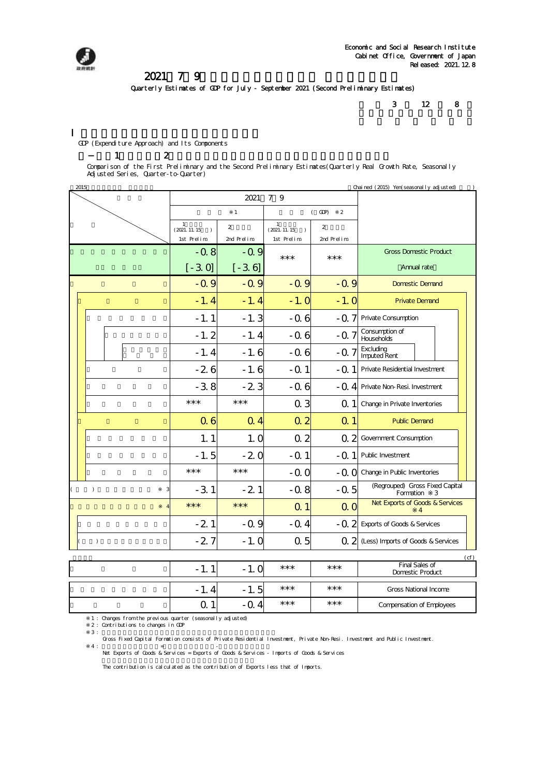

### 2021年7~9月期四半期別GDP速報 (2次速報値)

Quarterly Estimates of GDP for July - September 2021 (Second Preliminary Estimates)

3 12 8

Compensation of Employees

Gross National Income

GDP (Expenditure Approach) and Its Components

#### $1-2$

Comparison of the First Preliminary and the Second Preliminary Estimates(Quarterly Real Growth Rate, Seasonally Adjusted Series, Quarter-to-Quarter)

|           | 2015<br>Chai ned (2015) Yen(seasonal I y adj usted) |        |            |                                                                   |                          |                                                  |                                     |                                                   |  |  |
|-----------|-----------------------------------------------------|--------|------------|-------------------------------------------------------------------|--------------------------|--------------------------------------------------|-------------------------------------|---------------------------------------------------|--|--|
|           |                                                     |        |            |                                                                   | 2021                     | 7 9                                              |                                     |                                                   |  |  |
|           |                                                     |        |            |                                                                   | $\mathbf{1}$             |                                                  | $($ GDP $)$<br>$\overline{2}$       |                                                   |  |  |
|           |                                                     |        |            | $\mathbf{1}$<br>$\overline{2}$<br>(2021. 11. 15)<br>$\rightarrow$ |                          | $\mathbf{1}$<br>$\overline{2}$<br>(2021. 11. 15) |                                     |                                                   |  |  |
|           |                                                     |        | 1st Prelim | 2nd Prelim                                                        | 1st Prelim               | 2nd Prelim                                       |                                     |                                                   |  |  |
|           |                                                     | $-0.8$ | $-0.9$     | $***$                                                             | ***                      | <b>Gross Domestic Product</b>                    |                                     |                                                   |  |  |
|           |                                                     |        |            | $[-30]$                                                           | $[-3, 6]$                |                                                  |                                     | Annual rate                                       |  |  |
|           |                                                     |        |            | $-0.9$                                                            | $-0.9$                   | $-0.9$                                           | $-0.9$                              | <b>Domestic Demand</b>                            |  |  |
|           |                                                     |        |            | $-1.4$                                                            | $-1.4$                   | $-1.0$                                           | $-1.0$                              | <b>Private Demand</b>                             |  |  |
|           |                                                     |        |            | $-1.1$                                                            | $-1.3$                   | $-0.6$                                           |                                     | - Q 7 Private Consumption                         |  |  |
|           |                                                     |        |            | $-1.2$                                                            | $-1.4$<br>$-0.6$<br>-0.7 |                                                  | Consumption of<br><b>Households</b> |                                                   |  |  |
|           |                                                     |        |            | $-1.4$                                                            | $-1.6$                   | $-0.6$                                           | $-0.7$                              | Excluding<br><b>Imputed Rent</b>                  |  |  |
|           |                                                     |        |            | $-26$                                                             | $-1.6$                   | $-0.1$                                           |                                     | - Q 1 Private Residential Investment              |  |  |
|           |                                                     |        |            | $-3.8$                                                            | $-23$                    | $-0.6$                                           |                                     | - Q 4 Private Non-Resi. Investment                |  |  |
|           |                                                     |        |            | $***$                                                             | $***$                    | Q <sub>3</sub>                                   | Q 11                                | Change in Private Inventories                     |  |  |
|           |                                                     |        |            | Q <sub>6</sub>                                                    | $Q$ 4                    | Q <sub>2</sub>                                   | Q <sub>1</sub>                      | <b>Public Demand</b>                              |  |  |
|           |                                                     |        |            | 1.1                                                               | 1.0                      | Q <sub>2</sub>                                   |                                     | Q 2 Government Consumption                        |  |  |
|           |                                                     |        |            | $-1.5$                                                            | $-20$                    | $-0.1$                                           |                                     | - Q 1 Public Investment                           |  |  |
|           |                                                     |        |            | $***$                                                             | $***$                    | $-0.0$                                           |                                     | $-Q$ $Q$ Change in Public Inventories             |  |  |
|           | $\lambda$                                           |        |            | $-3.1$                                                            | $-21$                    | $-0.8$                                           | $-0.5$                              | (Regrouped) Gross Fixed Capital<br>Formation<br>3 |  |  |
|           |                                                     |        |            | $***$                                                             | $***$                    | Q <sub>1</sub>                                   | Q <sub>O</sub>                      | Net Exports of Goods & Services<br>4              |  |  |
|           |                                                     | $-21$  | $-0.9$     | $-0.4$                                                            |                          | - Q 2 Exports of Goods & Services                |                                     |                                                   |  |  |
| $\lambda$ |                                                     | $-27$  | $-1.0$     | 0.5                                                               |                          | Q 2 (Less) Imports of Goods & Services           |                                     |                                                   |  |  |
|           |                                                     |        |            |                                                                   |                          |                                                  |                                     | (cf)                                              |  |  |
|           | $-1.1$<br>$-1.0$                                    |        |            |                                                                   | $***$                    | ***                                              | Final Sales of<br>Domestic Product  |                                                   |  |  |

1 : Changes from the previous quarter (seasonally adjusted) 2 : Contributions to changes in GDP

 $3:$ Gross Fixed Capital Formation consists of Private Residential Investment, Private Non-Resi. Investment and Public Investment.

 $-1.4$   $-1.5$  \*\*\*  $*$  \*\*\* 0.1 -0.4 \*\*\* \*\*\*

4 :  $=$   $=$   $\frac{1}{100}$  =  $\frac{1}{100}$  = Exports of Goods & Services - Imports of Goods & Services - Net Exports of Goods & Services = Exports of Goods & Services =  $\frac{1}{100}$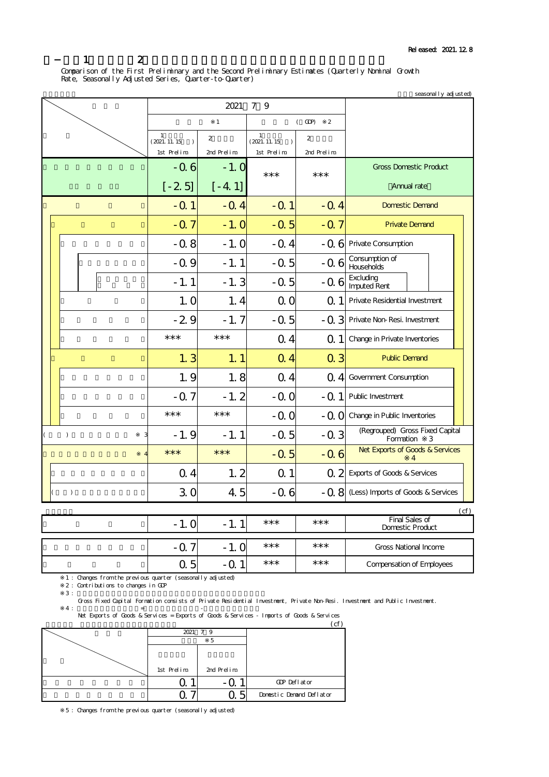Comparison of the First Preliminary and the Second Preliminary Estimates (Quarterly Nominal Growth Rate, Seasonally Adjusted Series, Quarter-to-Quarter)

|  | seasonal I y adj usted) |  |                                             |                |                                             |                               |                                                   |  |  |  |
|--|-------------------------|--|---------------------------------------------|----------------|---------------------------------------------|-------------------------------|---------------------------------------------------|--|--|--|
|  |                         |  |                                             | 2021           |                                             |                               |                                                   |  |  |  |
|  |                         |  |                                             | $\mathbf{1}$   |                                             | $($ GDP $)$<br>$\overline{2}$ |                                                   |  |  |  |
|  |                         |  | $\mathbf{1}$<br>(2021. 11. 15)<br>$\lambda$ | $\overline{2}$ | $\mathbf{1}$<br>(2021. 11. 15)<br>$\lambda$ | $\overline{2}$                |                                                   |  |  |  |
|  |                         |  | 1st Prelim                                  | 2nd Prelim     | 1st Prelim                                  | 2nd Prelim                    |                                                   |  |  |  |
|  |                         |  | $-0.6$                                      | $-1.0$         | ***<br>$***$                                |                               | <b>Gross Domestic Product</b>                     |  |  |  |
|  |                         |  | $[-25]$                                     | $[-4, 1]$      |                                             |                               | Annual rate                                       |  |  |  |
|  |                         |  | $-Q1$                                       | $-0.4$         | $-0.1$                                      | $-0.4$                        | <b>Domestic Demand</b>                            |  |  |  |
|  |                         |  | $-0.7$                                      | $-1.0$         | $-0.5$                                      | $-0.7$                        | <b>Private Demand</b>                             |  |  |  |
|  |                         |  | $-0.8$                                      | $-1.0$         | $-0.4$                                      |                               | - Q 6 Private Consumption                         |  |  |  |
|  |                         |  | $-0.9$                                      | $-1.1$         | $-0.5$                                      |                               | Consumption of<br>$-0.6$ Households               |  |  |  |
|  |                         |  | $-1.1$                                      | $-1.3$         | $-0.5$                                      | $-0.6$                        | Excluding<br><b>Imputed Rent</b>                  |  |  |  |
|  |                         |  | 1.0                                         | 1.4            | 0 <sub>0</sub>                              | Q <sub>1</sub>                | Private Residential Investment                    |  |  |  |
|  |                         |  | $-29$                                       | $-1.7$         | $-0.5$                                      |                               | - Q 3 Private Non-Resi. Investment                |  |  |  |
|  |                         |  | $***$                                       | $***$          | Q <sub>4</sub>                              | Q 1                           | Change in Private Inventories                     |  |  |  |
|  |                         |  | 1.3                                         | 1.1            | Q <sub>4</sub>                              | Q <sub>3</sub>                | <b>Public Demand</b>                              |  |  |  |
|  |                         |  | 1.9                                         | 1.8            | Q <sub>4</sub>                              |                               | Q 4 Government Consumption                        |  |  |  |
|  |                         |  | $-0.7$                                      | $-1.2$         | $-0.0$                                      | $-0.1$                        | Public Investment                                 |  |  |  |
|  |                         |  | $***$                                       | ***            | $-QQ$                                       |                               | - Q O Change in Public Inventories                |  |  |  |
|  | $\lambda$               |  | $-1.9$                                      | $-1.1$         | $-0.5$                                      | $-0.3$                        | (Regrouped) Gross Fixed Capital<br>Formation<br>3 |  |  |  |
|  |                         |  | $***$                                       | ***            | $-0.5$                                      | $-0.6$                        | Net Exports of Goods & Services<br>$\Delta$       |  |  |  |
|  |                         |  | $Q_4$                                       | 1.2            | Q <sub>1</sub>                              |                               | Q 2 Exports of Goods & Services                   |  |  |  |
|  | $\lambda$               |  | 30                                          | 4.5            | $-0.6$                                      |                               | - Q 8 (Less) Imports of Goods & Services          |  |  |  |
|  |                         |  |                                             |                |                                             |                               | (cf)                                              |  |  |  |
|  |                         |  | $-1.0$                                      | $-1.1$         | ***                                         | $***$                         | <b>Final Sales of</b><br>Domestic Product         |  |  |  |
|  |                         |  | $-0.7$                                      | $-1.0$         | ***                                         | $***$                         | <b>Gross National Income</b>                      |  |  |  |
|  |                         |  | Q <sub>5</sub>                              | $-0.1$         | ***                                         | ***                           | <b>Compensation of Employees</b>                  |  |  |  |

1 : Changes from the previous quarter (seasonally adjusted)

2 : Contributions to changes in GDP<br>3 :  $3:$ 

Gross Fixed Capital Formation consists of Private Residential Investment, Private Non-Resi. Investment and Public Investment.

※4 : 財貨・サービスの純輸出=財貨・サービスの輸出-財貨・サービスの輸入 Net Exports of Goods & Services = Exports of Goods & Services - Imports of Goods & Services

|            |            | cf                       |
|------------|------------|--------------------------|
|            | 2021 7 9   |                          |
|            |            |                          |
|            |            |                          |
|            |            |                          |
| 1st Prelim | 2nd Prelim |                          |
|            |            | GDP Deflator             |
|            | r          | Donestic Denand Deflator |

5 : Changes from the previous quarter (seasonally adjusted)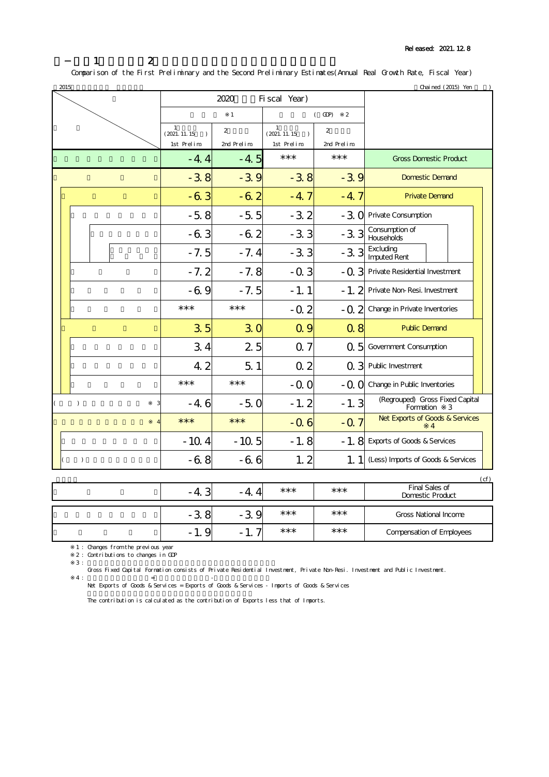### Released: 2021.12.8

# 2-1.1次速報値と2次速報値の比較(年度値、実質、前年比)

Comparison of the First Preliminary and the Second Preliminary Estimates(Annual Real Growth Rate, Fiscal Year)  $\frac{1}{2015}$  (2015) Yen  $\frac{1}{201}$  (2015) Yen  $\frac{1}{201}$ 

|                | ⊿ບເວ      |                                                 | 2020           | Fi scal Year)                                                     |                  | u kai leu (2013) feri                          |  |
|----------------|-----------|-------------------------------------------------|----------------|-------------------------------------------------------------------|------------------|------------------------------------------------|--|
|                |           |                                                 |                |                                                                   |                  |                                                |  |
|                |           | $\mathbf{1}$                                    |                |                                                                   | $($ GDP $)$<br>2 |                                                |  |
|                |           | $\mathbf{1}$<br>(2021. 11. 15)<br>$\rightarrow$ | $\overline{2}$ | $\mathbf{1}$<br>$\overline{2}$<br>(2021. 11. 15)<br>$\rightarrow$ |                  |                                                |  |
|                |           | 1st Prelim                                      | 2nd Prelim     | 1st Prelim                                                        | 2nd Prelim       |                                                |  |
|                |           | $-4.4$                                          | $-4.5$         | $***$                                                             | $***$            | <b>Gross Domestic Product</b>                  |  |
|                |           | $-3.8$                                          | $-39$          | $-38$                                                             | $-39$            | <b>Domestic Demand</b>                         |  |
|                |           | $-63$                                           | $-62$          | $-4.7$                                                            | $-4.7$           | <b>Private Demand</b>                          |  |
|                |           | $-5.8$                                          | $-5.5$         | $-3.2$                                                            | $-30$            | Private Consumption                            |  |
|                |           | $-6.3$                                          | $-62$          | $-3.3$                                                            | $-3.3$           | Consumption of<br>Households                   |  |
|                |           | $-7.5$                                          | $-7.4$         | $-3.3$                                                            | $-3.3$           | <b>Excluding</b><br>Imputed Rent               |  |
|                |           | $-7.2$                                          | $-7.8$         | $-0.3$                                                            |                  | - Q 3 Private Residential Investment           |  |
|                |           | $-69$                                           | $-7.5$         | $-1.1$                                                            |                  | - 1. 2 Private Non-Resi. Investment            |  |
|                |           | ***                                             | ***            | $-0.2$                                                            |                  | - Q 2 Change in Private Inventories            |  |
|                |           | 35                                              | 30             | Q 9                                                               | Q <sub>8</sub>   | <b>Public Demand</b>                           |  |
|                |           | 34                                              | 25             | Q <sub>7</sub>                                                    | Q <sub>5</sub>   | Government Consumption                         |  |
|                |           | 4.2                                             | 5 <sub>1</sub> | Q <sub>2</sub>                                                    |                  | Q 3 Public Investment                          |  |
|                |           | $***$                                           | $***$          | $-0.0$                                                            | $-0.0$           | Change in Public Inventories                   |  |
| $\overline{ }$ | $\lambda$ | $-4.6$                                          | $-5.0$         | $-1.2$                                                            | $-1.3$           | (Regrouped) Gross Fixed Capital<br>Formation 3 |  |
|                |           | $***$                                           | $***$          | $-0.6$                                                            | $-0.7$           | Net Exports of Goods & Services<br>4           |  |
|                |           | $-10.4$                                         | $-10.5$        | $-1.8$                                                            |                  | - 1. 8 Exports of Goods & Services             |  |
| $\lambda$      |           | -68                                             | $-66$          | 1.2                                                               |                  | 1. 1 (Less) Imports of Goods & Services        |  |
|                |           |                                                 |                |                                                                   |                  | (cf)                                           |  |

| ⌒<br>-4. | - 4.  | *** | *** | Final Sales of<br><b>Domestic Product</b> |
|----------|-------|-----|-----|-------------------------------------------|
| റ<br>-35 | د -   | *** | *** | <b>Gross National Income</b>              |
| . . I.   | $-1.$ | *** | *** | <b>Compensation of Employees</b>          |

1 : Changes from the previous year

2 : Contributions to changes in GDP

 $3:$ Gross Fixed Capital Formation consists of Private Residential Investment, Private Non-Resi. Investment and Public Investment.

 $4:$   $=$   $+$ Net Exports of Goods & Services = Exports of Goods & Services - Imports of Goods & Services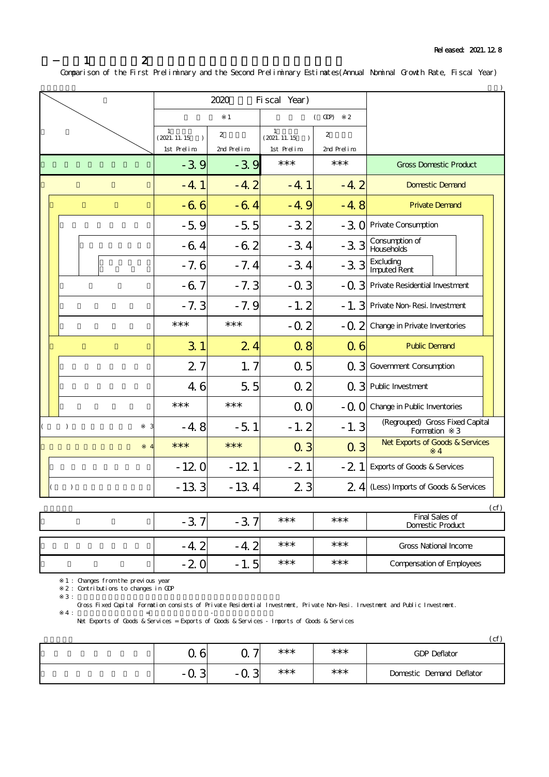|  |               |           |        |                                                  | 2020         | Fi scal Year)                                    |                               |                                                   |
|--|---------------|-----------|--------|--------------------------------------------------|--------------|--------------------------------------------------|-------------------------------|---------------------------------------------------|
|  |               |           |        |                                                  | $\mathbf{1}$ |                                                  | $($ GDP $)$<br>$\overline{2}$ |                                                   |
|  |               |           |        | $\mathbf{1}$<br>2<br>(2021. 11. 15)<br>$\lambda$ |              | $\mathbf{1}$<br>2<br>(2021. 11. 15)<br>$\lambda$ |                               |                                                   |
|  |               |           |        | 1st Prelim                                       | 2nd Prelim   | 1st Prelim                                       | 2nd Prelim                    |                                                   |
|  |               | $-39$     | $-39$  | ***                                              | ***          | <b>Gross Domestic Product</b>                    |                               |                                                   |
|  |               | $-4.1$    | $-4.2$ | $-4.1$                                           | $-4.2$       | <b>Domestic Demand</b>                           |                               |                                                   |
|  |               |           |        | $-66$                                            | $-64$        | $-4.9$                                           | $-4.8$                        | <b>Private Demand</b>                             |
|  |               |           |        | $-5.9$                                           | $-5.5$       | $-3.2$                                           |                               | - 3 O Private Consumption                         |
|  |               |           |        | $-64$                                            | $-62$        | $-3.4$                                           | $-33$                         | Consumption of<br>Households                      |
|  |               |           |        | $-7.6$                                           | $-7.4$       | $-3.4$                                           | $-33$                         | <b>Excluding<br/>Imputed Rent</b>                 |
|  |               |           |        | $-67$                                            | $-7.3$       | $-0.3$                                           |                               | - Q 3 Private Residential Investment              |
|  |               |           |        | $-7.3$                                           | $-7.9$       | $-1.2$                                           |                               | - 1. 3 Private Non-Resi. Investment               |
|  |               |           |        | $***$                                            | $***$        | $-0.2$                                           | $-0.2$                        | Change in Private Inventories                     |
|  |               |           |        | 3 <sub>1</sub>                                   | 24           | Q <sub>8</sub>                                   | $\overline{0}$ 6              | <b>Public Demand</b>                              |
|  |               |           |        | 27                                               | 1, 7         | Q <sub>5</sub>                                   |                               | Q 3 Government Consumption                        |
|  |               |           |        | 4.6                                              | 5.5          | Q <sub>2</sub>                                   |                               | Q 3 Public Investment                             |
|  |               |           |        | ***                                              | $***$        | 0 <sub>0</sub>                                   |                               | - Q O Change in Public Inventories                |
|  | $\mathcal{L}$ |           |        | $-4.8$                                           | $-5.1$       | $-1.2$                                           | $-1.3$                        | (Regrouped) Gross Fixed Capital<br>Formation<br>3 |
|  |               |           |        | $***$                                            | $***$        | Q <sub>3</sub>                                   | $Q_3$                         | Net Exports of Goods & Services<br>4              |
|  |               |           |        | $-120$                                           | $-121$       | $-21$                                            | $-21$                         | <b>Exports of Goods &amp; Services</b>            |
|  |               | $\lambda$ |        | $-13.3$                                          | $-13.4$      | 2 <sub>3</sub>                                   |                               | 2 4 (Less) Imports of Goods & Services            |

### Comparison of the First Preliminary and the Second Preliminary Estimates(Annual Nominal Growth Rate, Fiscal Year)

|          |                |       |     | (cf)                                      |
|----------|----------------|-------|-----|-------------------------------------------|
| ⌒<br>د - | $-3$           | $***$ | *** | Final Sales of<br><b>Domestic Product</b> |
|          |                |       |     |                                           |
| -4.      | $\sim$<br>- 4. | ***   | *** | <b>Gross National Income</b>              |
| $-2$     | 5<br>$-1.$     | ***   | *** | <b>Compensation of Employees</b>          |

1 : Changes from the previous year

2 : Contributions to changes in GDP

 $3:$ 

Gross Fixed Capital Formation consists of Private Residential Investment, Private Non-Resi. Investment and Public Investment.

Net Exports of Goods & Services = Exports of Goods & Services - Imports of Goods & Services

 $4:$   $=$   $-$ 

|                    |                 |       |       | (cf)                     |
|--------------------|-----------------|-------|-------|--------------------------|
| $\Omega$<br>O<br>u | –<br><u>u 1</u> | ***   | $***$ | <b>GDP Deflator</b>      |
| ⌒<br>- u<br>J.     | ົ<br>. - Q -    | $***$ | $***$ | Domestic Demand Deflator |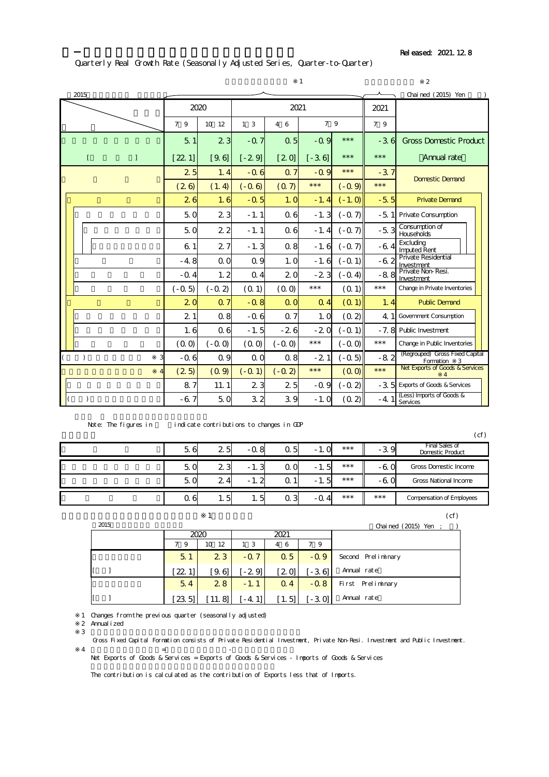Released: 2021.12.8

## Quarterly Real Growth Rate (Seasonally Adjusted Series, Quarter-to-Quarter)

|                |              |                |                |                |                | $\mathbf{1}$ |           |        | $\overline{2}$                                    |
|----------------|--------------|----------------|----------------|----------------|----------------|--------------|-----------|--------|---------------------------------------------------|
| 2015           |              |                |                |                |                |              |           |        | Chai ned (2015) Yen                               |
|                |              |                | 2020           |                | 2021           |              |           |        |                                                   |
|                |              | 7 9            | 10 12          | 1 <sub>3</sub> | 4 6            | 7 9          |           | 7 9    |                                                   |
|                |              | 5 <sub>1</sub> | 2 <sub>3</sub> | $-0.7$         | Q <sub>5</sub> | $-0.9$       | $***$     | $-36$  | <b>Gross Domestic Product</b>                     |
| $\mathfrak{r}$ | $\mathbf{I}$ | [221]          | [9.6]          | $[-29]$        | [20]           | $[-36]$      | $***$     | $***$  | Annual rate                                       |
|                |              | 25             | 1.4            | $-0.6$         | Q <sub>7</sub> | $-0.9$       | $***$     | $-37$  |                                                   |
|                |              | (26)           | (1.4)          | $(-0.6)$       | (0,7)          | $***$        | $(-0, 9)$ | $***$  | <b>Domestic Demand</b>                            |
|                |              | 26             | 1.6            | $-0.5$         | 1.0            | $-1.4$       | $(-1.0)$  | $-5.5$ | <b>Private Demand</b>                             |
|                |              | 50             | 2 <sub>3</sub> | $-1.1$         | Q <sub>6</sub> | $-1.3$       | $(-07)$   | -51    | Private Consumption                               |
|                |              | 50             | 2 <sub>2</sub> | $-1.1$         | Q6             | $-1.4$       | $(-Q)$    | $-5.3$ | Consumption of<br><b>Households</b>               |
|                |              | 6 <sub>1</sub> | 27             | $-1.3$         | Q 8            | $-1.6$       | $(-07)$   | -64    | Excluding<br><b>Imputed Rent</b>                  |
|                |              | $-4.8$         | QQ             | Q 9            | 1.0            | $-1.6$       | $(-0, 1)$ | -62    | <b>Private Residential</b><br>Investment          |
|                |              | $-0.4$         | 1.2            | $Q_4$          | 2 <sub>0</sub> | $-23$        | $(-0.4)$  | $-8.8$ | Private Non-Resi.<br>Investment                   |
|                |              | $(-0.5)$       | $(-0, 2)$      | (0.1)          | (00)           | $***$        | (01)      | $***$  | Change in Private Inventories                     |
|                |              | 2 <sub>0</sub> | Q <sub>7</sub> | $-0.8$         | QQ             | $Q_4$        | (01)      | 1.4    | <b>Public Demand</b>                              |
|                |              | 21             | $Q$ 8          | $-0.6$         | Q <sub>7</sub> | 1.0          | (0, 2)    | 4.1    | <b>Government Consumption</b>                     |
|                |              | 1.6            | Q <sub>6</sub> | $-1.5$         | $-26$          | $-20$        | $(-0, 1)$ | $-7.8$ | <b>Public Investment</b>                          |
|                |              | (00)           | $(-0.0)$       | (00)           | $(-0.0)$       | $***$        | $(0.0 -)$ | $***$  | Change in Public Inventories                      |
| $\mathcal{C}$  |              | $-0.6$         | Q 9            | QQ             | Q <sub>8</sub> | $-21$        | $(-0.5)$  | $-82$  | (Regrouped) Gross Fixed Capital<br>Formation<br>3 |
|                |              | (25)           | (0, 9)         | $(-0, 1)$      | $(-0.2)$       | $***$        | (00)      | $***$  | Net Exports of Goods & Services<br>4              |
|                |              | 87             | 11.1           | 2 <sub>3</sub> | 25             | $-0.9$       | $(-0, 2)$ | $-3.5$ | <b>Exports of Goods &amp; Services</b>            |
| $\lambda$      |              | $-67$          | 50             | 32             | 39             | $-1.0$       | (0, 2)    | $-4.1$ | (Less) Imports of Goods &<br>Services             |

Note: The figures in indicate contributions to changes in GDP

|     |     |            |     |        |       |       | (cf)                                             |
|-----|-----|------------|-----|--------|-------|-------|--------------------------------------------------|
| 56  | 25  | -0.8       | Q 5 | $-1.0$ | $***$ | $-39$ | <b>Final Sales of</b><br><b>Domestic Product</b> |
| 50  | 23  | $-1.3$     | Q O | $-1.5$ | $***$ | -60   | Gross Domestic Income                            |
| 50  | 24  | າ<br>$-1.$ | Q 1 | $-1.5$ | $***$ | $-6u$ | <b>Gross National Income</b>                     |
| Q 6 | 1.5 | l. 5       | Q 3 | $-0.4$ | $***$ | $***$ | <b>Compensation of Employees</b>                 |

|      |                |        |                         |                |          | (cf)                   |
|------|----------------|--------|-------------------------|----------------|----------|------------------------|
| 2015 |                |        |                         |                |          | Chained $(2015)$ Yen ; |
|      |                | 2020   |                         | 2021           |          |                        |
|      | - 9            | 10 12  | $\overline{\mathbf{3}}$ | -6<br>4        | 79       |                        |
|      | 5 <sub>1</sub> | 23     | $-0.7$                  | Q <sub>5</sub> | $-0.9$   | Second Preliminary     |
|      | [221]          | '9 6 L | [-29]                   | [2 O]          | I - 3.61 | Annual rate            |
|      | 5.4            | 28     | $-1.1$                  | $Q_4$          | $-0.8$   | First Preliminary      |

1 Changes from the previous quarter (seasonally adjusted)

 $\overline{4}$   $\overline{4}$   $\overline{5}$   $\overline{5}$   $\overline{5}$   $\overline{5}$   $\overline{5}$   $\overline{5}$   $\overline{5}$   $\overline{5}$   $\overline{5}$   $\overline{5}$   $\overline{5}$   $\overline{5}$   $\overline{5}$   $\overline{5}$   $\overline{5}$   $\overline{5}$   $\overline{5}$   $\overline{5}$   $\overline{5}$   $\overline{5}$   $\overline{5}$   $\overline{5}$   $\overline{$ 

2 Annualized<br>3

 $\overline{3}$ 

Gross Fixed Capital Formation consists of Private Residential Investment, Private Non-Resi. Investment and Public Investment.

Net Exports of Goods & Services = Exports of Goods & Services - Imports of Goods & Services

 $[1]$   $[23.5]$   $[11.8]$   $[-4.1]$   $[1.5]$   $[-3.0]$  Annual rate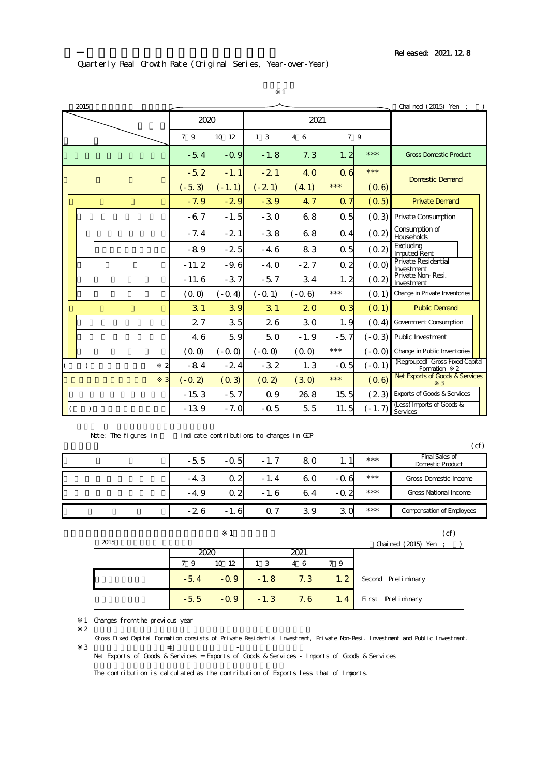### Quarterly Real Growth Rate (Original Series, Year-over-Year)

|                                          |                |          |                | 1          |                |          |                                                   |
|------------------------------------------|----------------|----------|----------------|------------|----------------|----------|---------------------------------------------------|
| 2015                                     |                |          |                |            |                |          | Chai ned (2015) Yen ;                             |
|                                          |                | 2020     |                | 2021       |                |          |                                                   |
|                                          | 79             | 10 12    | 1 <sub>3</sub> | 4 6        | 7 9            |          |                                                   |
|                                          | $-5.4$         | $-0.9$   | $-1.8$         | 7.3        | 1.2            | $***$    | <b>Gross Domestic Product</b>                     |
|                                          | $-5.2$         | $-1.1$   | $-21$          | <b>4.0</b> | Q <sub>6</sub> | $***$    | <b>Domestic Demand</b>                            |
|                                          | $(-5.3)$       | $(-1.1)$ | $(-21)$        | (4.1)      | $***$          | (06)     |                                                   |
|                                          | $-7.9$         | $-29$    | $-3.9$         | 4.7        | Q <sub>7</sub> | (0.5)    | <b>Private Demand</b>                             |
|                                          | $-67$          | $-1.5$   | $-30$          | 68         | 0 <sub>5</sub> | (0, 3)   | <b>Private Consumption</b>                        |
|                                          | $-7.4$         | $-21$    | $-3.8$         | 68         | $Q_4$          | (0, 2)   | Consumption of<br>Households                      |
|                                          | $-89$          | $-25$    | $-4.6$         | 83         | Q <sub>5</sub> | (0, 2)   | Excluding<br><b>Imputed Rent</b>                  |
|                                          | $-11.2$        | $-9.6$   | $-4.0$         | $-27$      | Q <sub>2</sub> | (00)     | Private Residential<br>Investment                 |
|                                          | $-11.6$        | $-37$    | $-5.7$         | 34         | 1.2            | (0.2)    | Private Non-Resi.<br>Investment                   |
|                                          | (0.0)          | $(-0.4)$ | $(-0.1)$       | $(-0.6)$   | $***$          | (0, 1)   | Change in Private Inventories                     |
|                                          | 3 <sub>1</sub> | 39       | 3 <sub>1</sub> | 20         | Q <sub>3</sub> | (0, 1)   | <b>Public Demand</b>                              |
|                                          | 27             | 35       | 26             | 30         | 1.9            | (0.4)    | <b>Government Consumption</b>                     |
|                                          | 4.6            | 59       | 5.0            | $-1.9$     | $-5.7$         | $(-0.3)$ | Public Investment                                 |
|                                          | (0.0)          | $(-0.0)$ | $(-0, 0)$      | (00)       | $***$          | $(-0,0)$ | Change in Public Inventories                      |
| $\overline{\mathbf{c}}$<br>$\mathcal{E}$ | $-84$          | $-24$    | $-3.2$         | 1.3        | -0.5           | $(-0.1)$ | (Regrouped) Gross Fixed Capital<br>Formation<br>2 |
| 3                                        | $(-0.2)$       | (0, 3)   | (0, 2)         | (30)       | $***$          | (0.6)    | Net Exports of Goods & Services<br>3              |
|                                          | $-15.3$        | $-5.7$   | Q 9            | 26.8       | 15.5           | (23)     | <b>Exports of Goods &amp; Services</b>            |
| )                                        | $-139$         | $-7.0$   | -0.5           | 5.5        | 11.5           | $(-1.7)$ | (Less) Imports of Goods &<br>Services             |

Note: The figures in indicate contributions to changes in GDP

|        |        |        |        |        |       | (cf)                                             |
|--------|--------|--------|--------|--------|-------|--------------------------------------------------|
| $-5.5$ | -05    | $-1.7$ | 80     | . .    | $***$ | <b>Final Sales of</b><br><b>Domestic Product</b> |
| $-4.3$ | Q 2    | $-1.4$ | 60     | -06    | $***$ | <b>Gross Domestic Income</b>                     |
| $-4.9$ | Q 2    | -1.6   | a<br>4 | $-0.2$ | $***$ | <b>Gross National Income</b>                     |
| $-26$  | $-1.6$ | Ο.     | 39     | 30     | $***$ | <b>Compensation of Employees</b>                 |

 $1$  (cf)

| 2015 |        |        |                |      |      | Chained $(2015)$ Yen ; |
|------|--------|--------|----------------|------|------|------------------------|
|      |        | 2020   |                | 2021 |      |                        |
|      | 9<br>7 | 10 12  | 1 <sub>3</sub> | 4 6  | 79   |                        |
|      | $-5.4$ | $-0.9$ | $-1.8$         | 7.3  | 1.2  | Second Preliminary     |
|      | $-5.5$ | $-0.9$ | $-1.3$         | 7.6  | 1, 4 | First Preliminary      |

1 Changes from the previous year

Gross Fixed Capital Formation consists of Private Residential Investment, Private Non-Resi. Investment and Public Investment.

 $\overline{3}$  ,  $\overline{5}$  ,  $\overline{5}$  ,  $\overline{5}$  ,  $\overline{5}$  ,  $\overline{5}$  ,  $\overline{5}$  ,  $\overline{5}$  ,  $\overline{5}$  ,  $\overline{5}$  ,  $\overline{5}$  ,  $\overline{5}$  ,  $\overline{5}$  ,  $\overline{5}$  ,  $\overline{5}$  ,  $\overline{5}$  ,  $\overline{5}$  ,  $\overline{5}$  ,  $\overline{5}$  ,  $\overline{5}$  , Net Exports of Goods & Services = Exports of Goods & Services - Imports of Goods & Services

The contribution is calculated as the contribution of Exports less that of Imports.

 $2$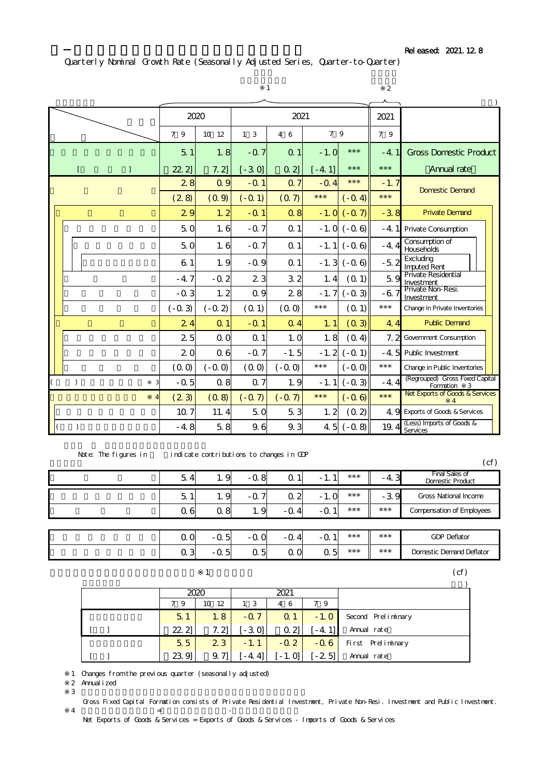# Quarterly Nominal Growth Rate (Seasonally Adjusted Series, Quarter-to-Quarter)

|              |   |                |                | 1              |                | $\overline{2}$ |                 |        |                                                   |
|--------------|---|----------------|----------------|----------------|----------------|----------------|-----------------|--------|---------------------------------------------------|
|              |   | 2020           |                |                | 2021           |                |                 | 2021   |                                                   |
|              |   | 7 9            | 10 12          | 1 <sub>3</sub> | 7 9<br>4 6     |                |                 | 7 9    |                                                   |
|              |   | 5 <sub>1</sub> | 1.8            | $-0.7$         | Q <sub>1</sub> | $-1.0$         | $***$           | $-4.1$ | <b>Gross Domestic Product</b>                     |
| $\mathbf{r}$ | 1 | 222            | 7.2            | $[-30]$        | $Q_2$          | $[-4.1]$       | $***$           | $***$  | Annual rate                                       |
|              |   | 28             | Q <sub>q</sub> | $-Q1$          | Q <sub>7</sub> | $-Q$ 4         | $***$           | $-1.7$ | <b>Domestic Demand</b>                            |
|              |   | (28)           | (0, 9)         | $(-0.1)$       | (07)           | $***$          | $(-0.4)$        | $***$  |                                                   |
|              |   | 29             | 1.2            | $-0.1$         | $Q$ $8$        | $-1.0$         | $(-0, 7)$       | $-3.8$ | <b>Private Demand</b>                             |
|              |   | 50             | 1.6            | $-0.7$         | Q <sub>1</sub> |                | $-1.0(-0.6)$    | $-4.1$ | <b>Private Consumption</b>                        |
|              |   | 50             | 1.6            | $-0.7$         | Q <sub>1</sub> | $-1.1$         | $(-0.6)$        | $-4.4$ | Consumption of<br>Households                      |
|              |   | 6 <sub>1</sub> | 1.9            | $-0.9$         | Q <sub>1</sub> |                | $-1.3$ $(-0.6)$ | $-5.2$ | Excluding<br><b>Imputed Rent</b>                  |
|              |   | $-4.7$         | $-0.2$         | 23             | 32             | 1.4            | (0, 1)          | 59     | Private Residential<br>Investment                 |
|              |   | $-0.3$         | 1.2            | Q <sub>q</sub> | 28             | $-1.7$         | $(-0.3)$        | -67    | Private Non-Resi.<br>Investment                   |
|              |   | $(-0.3)$       | $(-0.2)$       | (0, 1)         | (0.0)          | $***$          | (0.1)           | $***$  | Change in Private Inventories                     |
|              |   | 24             | Q <sub>1</sub> | $-0.1$         | Q <sub>4</sub> | 1.1            | (0, 3)          | 4.4    | <b>Public Demand</b>                              |
|              |   | 25             | QQ             | Q <sub>1</sub> | 1.0            | 1.8            | (0.4)           | 7.2    | <b>Government Consumption</b>                     |
|              |   | 20             | 0 <sub>6</sub> | $-0.7$         | $-1.5$         | $-1.2$         | $(-0.1)$        | -4.5   | Public Investment                                 |
|              |   | (00)           | $(-0,0)$       | (00)           | $(-0.0)$       | $***$          | $(-0,0)$        | $***$  | Change in Public Inventories                      |
| )            |   | $-0.5$         | Q <sub>8</sub> | Q <sub>7</sub> | 1.9            | $-1.1$         | $(-0.3)$        | $-4.4$ | (Regrouped) Gross Fixed Capital<br>Formation<br>3 |
|              |   | (23)           | (0, 8)         | $(-0, 7)$      | $(-0, 7)$      | $***$          | $(-0.6)$        | $***$  | Net Exports of Goods & Services<br>4              |
|              |   | 10 7           | 11.4           | 50             | 53             | 1.2            | (0.2)           |        | 4. 9 Exports of Goods & Services                  |
| $\lambda$    |   | $-4.8$         | 5.8            | 9.6            | 9.3            | 4.5            | $(-0.8)$        | 19.4   | (Less) Imports of Goods &<br>Services             |

| Note: The figures in | indicate contributions to changes in GDP |  |
|----------------------|------------------------------------------|--|
|                      |                                          |  |

|        |            |                                |                |            |       |        | Cf'                                              |
|--------|------------|--------------------------------|----------------|------------|-------|--------|--------------------------------------------------|
| 5      | . .        | -Q 8                           | -1<br>u        | . <u>.</u> | $***$ | ـد 4-  | <b>Final Sales of</b><br><b>Domestic Product</b> |
| 5<br>я | 1 Q<br>. . | $-0.7$                         | Q <sub>2</sub> | $-1.0$     | $***$ | $-3.9$ | <b>Gross National Income</b>                     |
| Q 6    | ე 8<br>u   | $\mathbf{\Omega}$<br>-1<br>. . | $-0.4$         | $-0.1$     | $***$ | $***$  | <b>Compensation of Employees</b>                 |
|        |            |                                |                |            |       |        |                                                  |

| $\sim$ $\sim$<br>ັ<br>◡ | $\overline{ }$<br>ີ<br>ັ            | $\sim$<br>ັ<br>ັ | $\boldsymbol{\Lambda}$<br>- 1<br>◡ | и<br>$-1$<br>◡ | *** | *** | <b>GDP Deflator</b>             |
|-------------------------|-------------------------------------|------------------|------------------------------------|----------------|-----|-----|---------------------------------|
| ឹ<br>ັ<br>◡             | $\overline{\phantom{0}}$<br>יש<br>ັ | Е<br>∽<br>ັ      | $\overline{\phantom{0}}$<br>ັ<br>ັ | Б.<br>-<br>ິ   | *** | *** | <b>Domestic Demand Deflator</b> |

| (cf) |  |
|------|--|
|      |  |

|       | 2020     |        | 2021           |         |                    |
|-------|----------|--------|----------------|---------|--------------------|
| 79    | 12<br>10 | 13     | 4 6            | 79      |                    |
| 5.1   | 1.8      | $-Q7$  | Q <sub>1</sub> | $-1.0$  | Second Preliminary |
| 22.21 | 7. 21    | $-30$  | Q2             | $-4.11$ | Annual rate        |
| 5.5   | 23       | $-1.1$ | $-0.2$         | $-0.6$  | First Preliminary  |
| 23.9  | 9. 71    | $-4.4$ | $-1.0$         | $-25$   | Annual rate        |

※1 Changes from the previous quarter (seasonally adjusted)

※2 Annualized

 $\overline{3}$ 

Gross Fixed Capital Formation consists of Private Residential Investment, Private Non-Resi. Investment and Public Investment.  $\overline{4}$   $\overline{4}$   $\overline{5}$   $\overline{5}$   $\overline{5}$   $\overline{5}$   $\overline{5}$   $\overline{5}$   $\overline{5}$   $\overline{5}$   $\overline{5}$   $\overline{5}$   $\overline{5}$   $\overline{5}$   $\overline{5}$   $\overline{5}$   $\overline{5}$   $\overline{5}$   $\overline{5}$   $\overline{5}$   $\overline{5}$   $\overline{5}$   $\overline{5}$   $\overline{5}$   $\overline{$ 

Net Exports of Goods & Services = Exports of Goods & Services - Imports of Goods & Services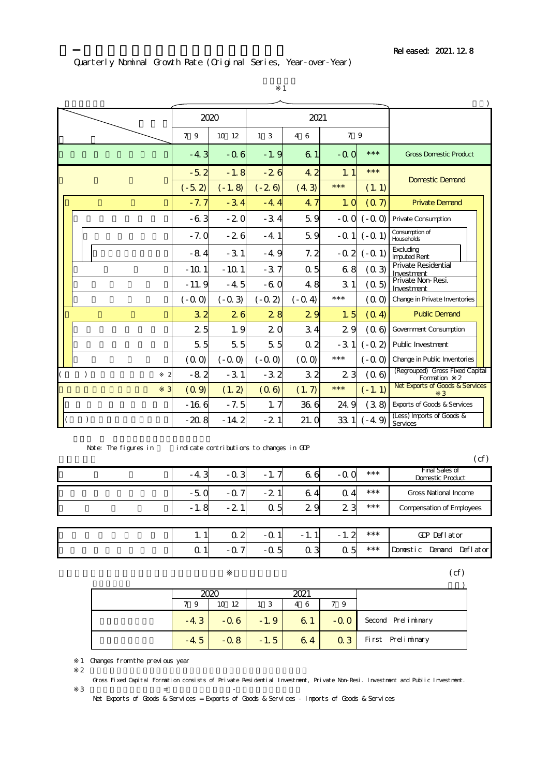### Quarterly Nominal Growth Rate (Original Series, Year-over-Year)

|                          |               | 2020           |          |                | 2021           |                |           |                                                                |
|--------------------------|---------------|----------------|----------|----------------|----------------|----------------|-----------|----------------------------------------------------------------|
|                          |               | 7 9            | 10 12    | 1 <sub>3</sub> | 4 6            | 7 9            |           |                                                                |
|                          |               | $-4.3$         | $-0.6$   | $-1.9$         | 6 <sub>1</sub> | $-0.0$         | $***$     | <b>Gross Domestic Product</b>                                  |
|                          |               | $-5.2$         | $-1.8$   | $-26$          | 4.2            | 1.1            | $***$     | <b>Domestic Demand</b>                                         |
|                          |               | $(-5.2)$       | $(-1.8)$ | $(-26)$        | (4.3)          | $***$          | (1.1)     |                                                                |
|                          |               | $-7.7$         | $-34$    | $-4.4$         | 4.7            | 1.0            | (0,7)     | <b>Private Demand</b>                                          |
|                          |               | $-63$          | $-20$    | $-34$          | 5.9            | $-0.0$         | $(-0.0)$  | <b>Private Consumption</b>                                     |
|                          |               | $-7.0$         | $-26$    | $-4.1$         | 5.9            | -Q 1           | $(-0.1)$  | Consumption of<br>Households                                   |
|                          |               | $-84$          | $-31$    | $-4.9$         | 7.2            | $-0.2$         | $(-0.1)$  | Excluding<br><b>Imputed Rent</b>                               |
|                          |               | $-101$         | $-10.1$  | $-37$          | Q <sub>5</sub> | 68             | (0, 3)    | <b>Private Residential</b><br>Investment<br>Private Non-Resi.  |
|                          |               | $-11.9$        | $-4.5$   | -60            | 4.8            | 3 <sub>1</sub> | (0.5)     | Investment                                                     |
|                          |               | $(-0.0)$       | $(-0.3)$ | $(-0.2)$       | $(-0.4)$       | $***$          | (00)      | Change in Private Inventories                                  |
|                          |               | 3 <sup>2</sup> | 26       | 28             | 29             | 1.5            | (0.4)     | <b>Public Demand</b>                                           |
|                          |               | 2 <sub>5</sub> | 1.9      | 20             | 3.4            | 29             | (0.6)     | Government Consumption                                         |
|                          |               | 55             | 55       | 5 <sub>5</sub> | Q <sub>2</sub> | $-3.1$         | $(-0.2)$  | <b>Public Investment</b>                                       |
|                          |               | (00)           | $(-0.0)$ | $(-0.0)$       | (00)           | $***$          | $( -0.0)$ | Change in Public Inventories                                   |
| $\mathcal{L}$            | 2             | $-82$          | $-31$    | $-3.2$         | 3 <sub>2</sub> | 2 <sub>3</sub> | (0.6)     | (Regrouped) Gross Fixed Capital<br>Formation<br>$\overline{2}$ |
|                          | 3             | (0, 9)         | (1.2)    | (0.6)          | (1.7)          | $***$          | $(-1.1)$  | Net Exports of Goods & Services<br>3                           |
|                          |               | $-166$         | $-7.5$   | 1.7            | 36.6           | 24.9           | (3.8)     | Exports of Goods & Services                                    |
| $\overline{\mathcal{L}}$ | $\mathcal{E}$ | $-208$         | $-14.2$  | $-21$          | 21.0           | 33.1           | $(-4.9)$  | (Less) Imports of Goods &<br>Services                          |

※1

Note: The figures in indicate contributions to changes in GDP

 $(\text{cf})$ 

| $-4.3$         | $-0.3$         | $-1.7$         | 66             | -Q O           | $***$ | <b>Final Sales of</b><br><b>Domestic Product</b> |
|----------------|----------------|----------------|----------------|----------------|-------|--------------------------------------------------|
| $-50$          | -0.7           | $-2.1$         | 64             | $Q_4$          | $***$ | <b>Gross National Income</b>                     |
| $-1.8$         | $-21$          | Q <sub>5</sub> | 29             | 2 <sub>3</sub> | $***$ | <b>Compensation of Employees</b>                 |
|                |                |                |                |                |       |                                                  |
| 1.1            | Q <sub>2</sub> | $-0.1$         | $-1.1$         | $-1.2$         | $***$ | GDP Deflator                                     |
| Q <sub>1</sub> | $-Q7$          | -05            | Q <sub>3</sub> | Q <sub>5</sub> | $***$ | Domestic Demand<br>Deflator                      |

 $(\text{cf})$ 

|        | 2020   |                | 2021 |            |                    |
|--------|--------|----------------|------|------------|--------------------|
| 79     | 10 12  | 1 <sub>3</sub> | 4 6  | 79         |                    |
| $-4.3$ | $-0.6$ | $-1.9$         | 61   | $-00$      | Second Preliminary |
| $-4.5$ | $-0.8$ | $-1.5$         | 64   | $\Omega$ 3 | First Preliminary  |

1 Changes from the previous year

 $2$ 

Gross Fixed Capital Formation consists of Private Residential Investment, Private Non-Resi. Investment and Public Investment.

Net Exports of Goods & Services = Exports of Goods & Services - Imports of Goods & Services

 $\overline{3}$  ,  $\overline{5}$  ,  $\overline{5}$  ,  $\overline{5}$  ,  $\overline{5}$  ,  $\overline{5}$  ,  $\overline{5}$  ,  $\overline{5}$  ,  $\overline{5}$  ,  $\overline{5}$  ,  $\overline{5}$  ,  $\overline{5}$  ,  $\overline{5}$  ,  $\overline{5}$  ,  $\overline{5}$  ,  $\overline{5}$  ,  $\overline{5}$  ,  $\overline{5}$  ,  $\overline{5}$  ,  $\overline{5}$  ,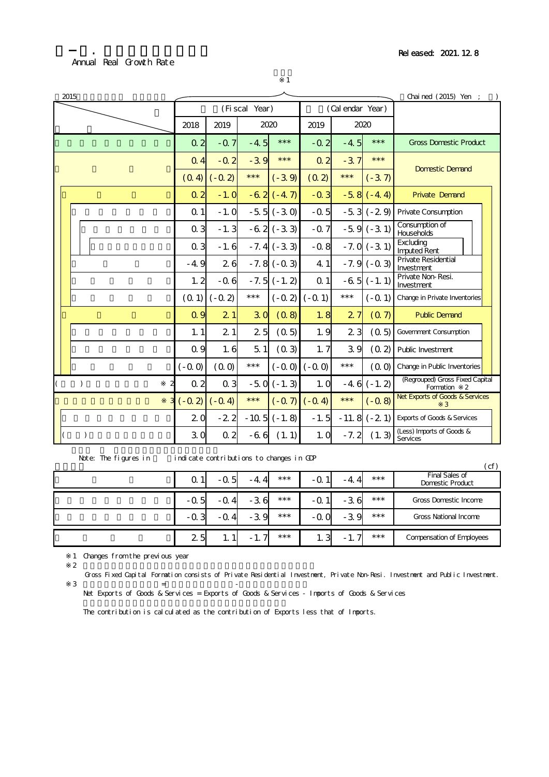### Annual Real Growth Rate

4-1. 年次別の実質成長率

※1

| 2015          |                |                                |                   |              | Chained $(2015)$ Yen ; ) |                   |              |                                                                |
|---------------|----------------|--------------------------------|-------------------|--------------|--------------------------|-------------------|--------------|----------------------------------------------------------------|
|               |                |                                | (Fiscal Year)     |              |                          | (Cal endar Year)  |              |                                                                |
|               | 2018           | 2019                           |                   | 2020         | 2019                     | 2020              |              |                                                                |
|               | Q <sub>2</sub> | $-Q$ 7                         | $-4.5$            | $***$        | $-0.2$                   | $-4.5$            | $***$        | <b>Gross Domestic Product</b>                                  |
|               | $Q_4$          | $-0.2$                         | $-39$             | $***$        | Q <sub>2</sub>           | $-3.7$            | $***$        | <b>Domestic Demand</b>                                         |
|               |                | $(-0, 2)$<br>(O <sub>4</sub> ) | $***$             | $(-3.9)$     | (0, 2)                   | $***$             | $(-37)$      |                                                                |
|               | Q <sub>2</sub> | $-1.0$                         |                   | $-62(-47)$   | $-0.3$                   |                   | $-58(-44)$   | <b>Private Demand</b>                                          |
|               | Q <sub>1</sub> | $-1.0$                         |                   | $-55(-30)$   | $-0.5$                   |                   | $-53(-29)$   | Private Consumption                                            |
|               | $Q_3$          | $-1.3$                         |                   | $-62(-33)$   | $-0.7$                   |                   | $-59(-31)$   | Consumption of<br><b>Households</b>                            |
|               | $Q_3$          | $-1.6$                         |                   | $-7.4(-3.3)$ | $-0.8$                   |                   | $-7.0(-3.1)$ | Excluding<br><b>Imputed Rent</b>                               |
|               | $-4.9$         | 26                             |                   | $-7.8(-0.3)$ | 4.1                      |                   | $-7.9(-0.3)$ | Private Residential<br>Investment                              |
|               | 1.2            | $-0.6$                         |                   | $-7.5(-1.2)$ | Q <sub>1</sub>           |                   | $-65(-1.1)$  | Private Non-Resi.<br>Investment                                |
|               | (01)           | $(-0.2)$                       | $\star\star\star$ |              | $(-0, 2)$ $(-0, 1)$      | $\star\star\star$ | $(-Q1)$      | Change in Private Inventories                                  |
|               | Q <sub>q</sub> | 21                             | 3 <sub>0</sub>    | (0.8)        | 1.8                      | 2.7               | (07)         | <b>Public Demand</b>                                           |
|               | 1.1            | 21                             | 2 <sub>5</sub>    | (0.5)        | 1.9                      | 2 <sub>3</sub>    | (0,5)        | <b>Government Consumption</b>                                  |
|               | Q <sub>q</sub> | 1.6                            | 51                | (0.3)        | 1.7                      | 39                | (0, 2)       | Public Investment                                              |
|               | $(-0.0)$       | (00)                           | $***$             | $(-0.0)$     | $(-0,0)$                 | $***$             | (00)         | Change in Public Inventories                                   |
| $\mathcal{L}$ | Q <sub>2</sub> | Q <sub>3</sub>                 |                   | $-50(-1.3)$  | 1.0                      | $-4.6$            | $(-1.2)$     | (Regrouped) Gross Fixed Capital<br>Formation<br>$\overline{2}$ |
|               | $(-0, 2)$      | $(-0.4)$                       | $***$             |              | $(-07)(-04)$             | $***$             | $(-0.8)$     | Net Exports of Goods & Services<br>3                           |
|               | 2 <sub>0</sub> | $-22$                          |                   | $-105(-1.8)$ | $-1.5$                   |                   | $-11.8(-21)$ | <b>Exports of Goods &amp; Services</b>                         |
| $\mathcal{E}$ | 3 <sub>0</sub> | Q <sub>2</sub>                 | $-66$             | (1.1)        | 1.0                      | $-7.2$            | (1.3)        | (Less) Imports of Goods &<br>Services                          |

Note: The figures in indicate contributions to changes in GDP

 $(\text{cf})$ 0.1 -0.5 -4.4 \*\*\* -0.1 -4.4 \*\*\*  $-0.5$   $-0.4$   $-3.6$  \*\*\*  $-0.1$   $-3.6$  \*\*\*  $-0.3$   $-0.4$   $-3.9$   $***$   $-0.0$   $-3.9$   $***$ 2.5 1.1 -1.7 \*\*\* 1.3 -1.7 \*\*\* Gross Domestic Income Compensation of Employees Gross National Income 最終需要 Final Sales of Domestic Product

1 Changes from the previous year

 $2$ 

Gross Fixed Capital Formation consists of Private Residential Investment, Private Non-Resi. Investment and Public Investment.  $\mathbf{3}$   $\mathbf{5}$  +  $\mathbf{6}$  +  $\mathbf{6}$  +  $\mathbf{6}$  +  $\mathbf{6}$  +  $\mathbf{6}$  +  $\mathbf{6}$  +  $\mathbf{6}$  +  $\mathbf{6}$  +  $\mathbf{6}$  +  $\mathbf{6}$  +  $\mathbf{6}$  +  $\mathbf{6}$  +  $\mathbf{6}$  +  $\mathbf{6}$  +  $\mathbf{6}$  +  $\mathbf{6}$  +  $\mathbf{6}$  +  $\mathbf{6}$  +  $\math$ 

Net Exports of Goods & Services = Exports of Goods & Services - Imports of Goods & Services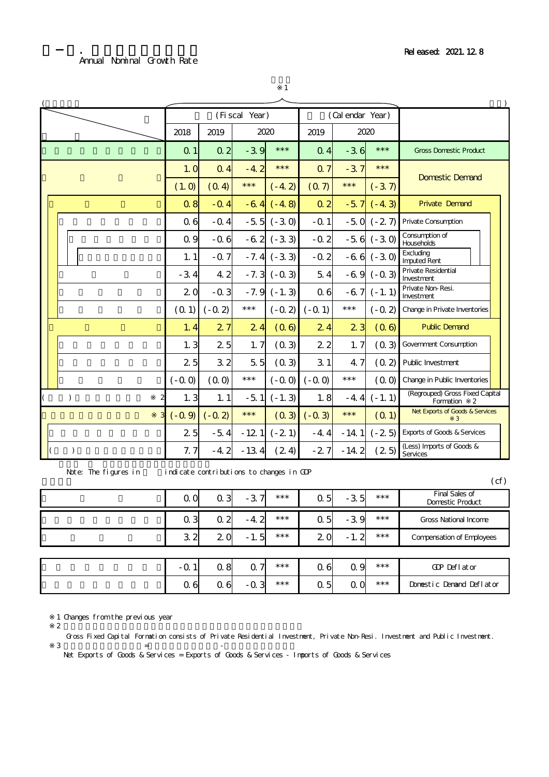|                      |                |                                          | (Fiscal Year) |                 |                | (Cal endar Year) |             |                                                   |
|----------------------|----------------|------------------------------------------|---------------|-----------------|----------------|------------------|-------------|---------------------------------------------------|
|                      | 2018           | 2019                                     |               | 2020            | 2019           |                  | 2020        |                                                   |
|                      | Q <sub>1</sub> | Q <sub>2</sub>                           | $-39$         | $***$           | Q <sub>4</sub> | $-36$            | $***$       | <b>Gross Domestic Product</b>                     |
|                      | 1.0            | Q <sub>4</sub>                           | $-4.2$        | $***$           | Q <sub>7</sub> | $-3.7$           | $***$       | <b>Domestic Demand</b>                            |
|                      | (1.0)          | (O <sub>4</sub> )                        | $***$         | $(-4.2)$        | (07)           | $***$            | $(-37)$     |                                                   |
|                      | $Q_8$          | $-Q$ 4                                   | $-64$         | $(-4.8)$        | Q <sub>2</sub> | $-5.7$           | $(-4.3)$    | <b>Private Demand</b>                             |
|                      | Q <sub>6</sub> | $-0.4$                                   |               | $-55 (-30)$     | $-0.1$         |                  | $-50 (-27)$ | Private Consumption                               |
|                      | Q <sub>q</sub> | $-0.6$                                   |               | $-62(-33)$      | $-0.2$         |                  | $-56(-30)$  | Consumption of<br>Households                      |
|                      | 1.1            | $-0.7$                                   |               | $-7.4$ $(-3.3)$ | $-0.2$         |                  | $-66 (-30)$ | Excluding<br><b>Imputed Rent</b>                  |
|                      | $-3.4$         | 4.2                                      | $-7.3$        | $(-0.3)$        | 54             |                  | $-69(-03)$  | Private Residential<br>Investment                 |
|                      | 20             | $-0.3$                                   | $-7.9$        | $(-1.3)$        | Q <sub>6</sub> | $-6.7$           | $(-1.1)$    | Private Non-Resi.<br>Investment                   |
|                      | (01)           | $(-0.2)$                                 | $***$         | $(-0.2)$        | $(-0.1)$       | $***$            | $(-0.2)$    | Change in Private Inventories                     |
|                      | 1.4            | 27                                       | 24            | (06)            | 24             | 2 <sub>3</sub>   | (06)        | <b>Public Demand</b>                              |
|                      | 1.3            | 25                                       | 1.7           | (0, 3)          | 2 <sub>2</sub> | 1.7              | (0,3)       | <b>Government Consumption</b>                     |
|                      | 25             | 32                                       | 55            | (03)            | 31             | 4.7              | (0, 2)      | Public Investment                                 |
|                      | $(-0.0)$       | (00)                                     | $***$         | $(-0.0)$        | $(-0,0)$       | $***$            | (00)        | Change in Public Inventories                      |
| $\lambda$            | 1.3            | 1.1                                      | $-5.1$        | $(-1.3)$        | 1.8            | $-4.4$           | $(-1.1)$    | (Regrouped) Gross Fixed Capital<br>Formation<br>2 |
|                      | $(-0, 9)$      | $(-0, 2)$                                | $***$         | (03)            | $(-0.3)$       | $***$            | (0, 1)      | Net Exports of Goods & Services<br>3              |
|                      | 2 <sub>5</sub> | $-5.4$                                   | $-121$        | $(-21)$         | $-4.4$         | $-14.1$          | $(-25)$     | <b>Exports of Goods &amp; Services</b>            |
| $\lambda$            | 7.7            | $-4.2$                                   | $-13.4$       | (24)            | $-27$          | $-14.2$          | (25)        | (Less) Imports of Goods &<br>Services             |
| Note: The figures in |                | indicate contributions to changes in GDP |               |                 |                |                  |             | (cf)                                              |
|                      |                |                                          |               |                 |                |                  |             |                                                   |

※1

| Q Q            | Q <sub>3</sub> | $-37$          | $***$ | Q <sub>5</sub> | $-3.5$         | $***$ | Final Sales of<br><b>Domestic Product</b> |
|----------------|----------------|----------------|-------|----------------|----------------|-------|-------------------------------------------|
| Q <sub>3</sub> | Q <sub>2</sub> | $-4.2$         | $***$ | Q <sub>5</sub> | $-3.9$         | $***$ | <b>Gross National Income</b>              |
| 3 <sub>2</sub> | 2 O            | $-1.5$         | $***$ | 20             | $-1.2$         | $***$ | <b>Compensation of Employees</b>          |
|                |                |                |       |                |                |       |                                           |
| -Q 1           | Q <sub>8</sub> | Q <sub>7</sub> | $***$ | Q 6            | Q 9            | $***$ | GDP Deflator                              |
| $\alpha$ 6     | $\alpha$ 6     | $-0.3$         | $***$ | Q <sub>5</sub> | 0 <sub>0</sub> | $***$ | Donestic Denand Deflator                  |

1 Changes from the previous year  $2$ 

Gross Fixed Capital Formation consists of Private Residential Investment, Private Non-Resi. Investment and Public Investment.

 $\overline{3}$   $\overline{5}$  +  $\overline{5}$ Net Exports of Goods & Services = Exports of Goods & Services - Imports of Goods & Services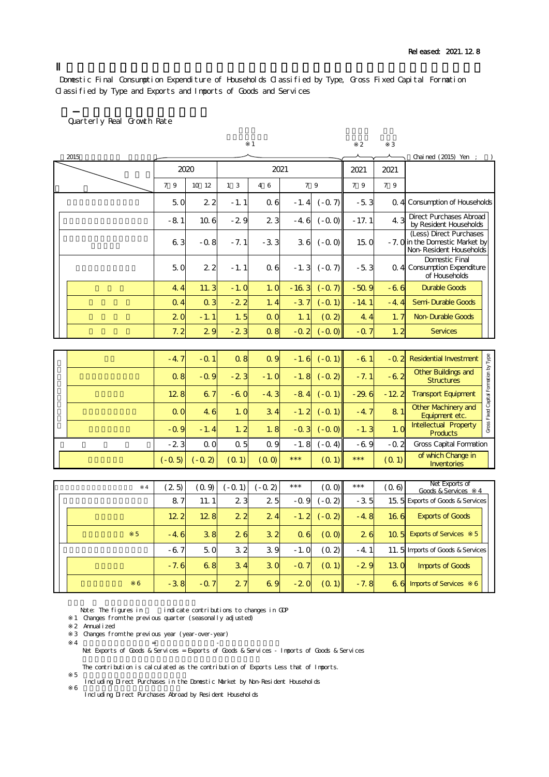Domestic Final Consumption Expenditure of Households Classified by Type, Gross Fixed Capital Formation Classified by Type and Exports and Imports of Goods and Services

### Quarterly Real Growth Rate

|                |                 |                 |                | $\mathbf{1}$   |                   |           | $\overline{2}$ | 3                 |                                                                                        |  |  |  |
|----------------|-----------------|-----------------|----------------|----------------|-------------------|-----------|----------------|-------------------|----------------------------------------------------------------------------------------|--|--|--|
| 2015           |                 |                 |                |                |                   |           |                |                   | Chai ned (2015) Yen ;                                                                  |  |  |  |
|                |                 | 2020            |                | 2021           |                   |           | 2021           | 2021              |                                                                                        |  |  |  |
|                | 79              | 10 12           | 1 <sub>3</sub> | 46             | 7 9               |           | 79             | 7 9               |                                                                                        |  |  |  |
|                | 5. 0            | 2 <sub>2</sub>  | $-1.1$         | Q 6            | - 1.4             | $(-0, 7)$ | -53            | Q 4               | <b>Consumption of Households</b>                                                       |  |  |  |
|                | $-8.1$          | 10 <sub>6</sub> | $-29$          | 23             | -4.6              | $(-0.0)$  | $-17.1$        | 4.3               | <b>Direct Purchases Abroad</b><br>by Resident Households                               |  |  |  |
|                | 63              | -0.8            | $-7.1$         | $-3.3$         | 36                | $(-0.0)$  | 15.0           |                   | (Less) Direct Purchases<br>- 7. O in the Domestic Market by<br>Non-Resident Households |  |  |  |
|                | 50              | 22              | $-1.1$         | Q 6            | $-1.3$            | $(-0, 7)$ | $-5.3$         |                   | <b>Domestic Final</b><br>Q 4 Consumption Expenditure<br>of Households                  |  |  |  |
|                | 4.4             | 11.3            | $-1.0$         | 1.0            | $-163$            | $(-0.7)$  | $-50.9$        | -66               | <b>Durable Goods</b>                                                                   |  |  |  |
|                | Q <sub>4</sub>  | Q <sub>3</sub>  | $-22$          | 1.4            | $-3.7$            | $(-0.1)$  | $-14.1$        | $-4.4$            | Semi-Durable Goods                                                                     |  |  |  |
|                | 2 <sub>0</sub>  | $-1.1$          | 1.5            | 0 <sub>0</sub> | 1.1               | (0, 2)    | 4.4            | 1, 7              | <b>Non-Durable Goods</b>                                                               |  |  |  |
|                | 7.2             | 29              | $-23$          | $Q$ 8          | $-0.2$            | $(-0.0)$  | $-0.7$         | 1, 2              | <b>Services</b>                                                                        |  |  |  |
|                |                 |                 |                |                |                   |           |                |                   |                                                                                        |  |  |  |
|                | $-4.7$          | $-0.1$          | $Q$ 8          | Q <sub>q</sub> | $-1.6$            | $(-0.1)$  | $-61$          | $-0.2$            | <b>Residential Investment</b>                                                          |  |  |  |
|                | Q <sub>8</sub>  | $-0.9$          | $-23$          | $-1.0$         | $-1.8$            | $(-0.2)$  | $-7.1$         | -62               | Other Buildings and<br><b>Structures</b>                                               |  |  |  |
|                | 128             | 67              | $-60$          | $-4.3$         | $-8.4$            | $(-0.1)$  | $-29.6$        | $-12.2$           | <b>Transport Equipment</b>                                                             |  |  |  |
|                | $\alpha$ o      | 4.6             | 1.0            | 3.4            | $-1.2$            | $(-0, 1)$ | $-4.7$         | 81                | Gross Fixed Capital Formation by Type<br><b>Other Machinery and</b><br>Equipment etc.  |  |  |  |
|                | $-0.9$          | $-1.4$          | 1.2            | 1.8            | -03               | $(-0.0)$  | $-1.3$         | 1.0               | <b>Intellectual Property</b><br><b>Products</b>                                        |  |  |  |
|                | $-23$           | Q O             | $\alpha$ 5     | Q <sub>9</sub> | $-1.8$            | $(-0.4)$  | $-69$          | -Q 2              | <b>Gross Capital Formation</b>                                                         |  |  |  |
|                | $(-0.5)$        | $(-0.2)$        | (0, 1)         | (00)           | $\star\star\star$ | (0, 1)    | $***$          | (Q <sub>1</sub> ) | of which Change in<br>Inventories                                                      |  |  |  |
|                |                 |                 |                |                |                   |           |                |                   |                                                                                        |  |  |  |
| $\overline{4}$ | (2.5)           | (0.9)           | $(-0.1)$       | $(-0, 2)$      | $\star\star\star$ | (0,0)     | $***$          | (0.6)             | Net Exports of<br>Goods & Services<br>-4                                               |  |  |  |
|                | 87              | 11.1            | 2 <sub>3</sub> | 25             | -0.9              | $(-0.2)$  | $-3.5$         |                   | 15. 5 Exports of Goods & Services                                                      |  |  |  |
|                | 12 <sub>2</sub> | 128             | 2 <sub>2</sub> | 24             | $-1.2$            | $(-0.2)$  | $-4.8$         | 166               | <b>Exports of Goods</b>                                                                |  |  |  |
| 5              | $-4.6$          | 38              | 26             | 3 <sub>2</sub> | 06                | (0,0)     | 26             | 10 <sub>5</sub>   | <b>Exports of Services</b><br>5                                                        |  |  |  |
|                | -67             | 5. 0            | 32             | 39             | - 1. 0            | (0, 2)    | -4.1           | 11.5              | Imports of Goods & Services                                                            |  |  |  |
|                | - 7. 6          | 68              | 3.4            | 30             | -Q 7              | (0, 1)    | -29            | 13 <sub>o</sub>   | <b>Imports of Goods</b>                                                                |  |  |  |
| 6              | $-3.8$          | $-0.7$          | 27             | 69             | -20               | (0, 1)    | - 7. 8         | 66                | 6<br><b>Imports of Services</b>                                                        |  |  |  |

Note: The figures in indicate contributions to changes in GDP

- 1 Changes from the previous quarter (seasonally adjusted) 2 Annualized
- 
- 3 Changes from the previous year (year-over-year)<br>4  $=$  $\overline{4}$   $\overline{4}$   $\overline{5}$   $\overline{5}$   $\overline{5}$   $\overline{5}$   $\overline{5}$   $\overline{5}$   $\overline{5}$   $\overline{5}$   $\overline{5}$   $\overline{5}$   $\overline{5}$   $\overline{5}$   $\overline{5}$   $\overline{5}$   $\overline{5}$   $\overline{5}$   $\overline{5}$   $\overline{5}$   $\overline{5}$   $\overline{5}$   $\overline{5}$   $\overline{5}$   $\overline{$ 
	- Net Exports of Goods & Services = Exports of Goods & Services Imports of Goods & Services

- 5<br>Including Direct Purchases in the Domestic Market by Non-Resident Households
- %<br>Including Direct Purchases Abroad by Resident Households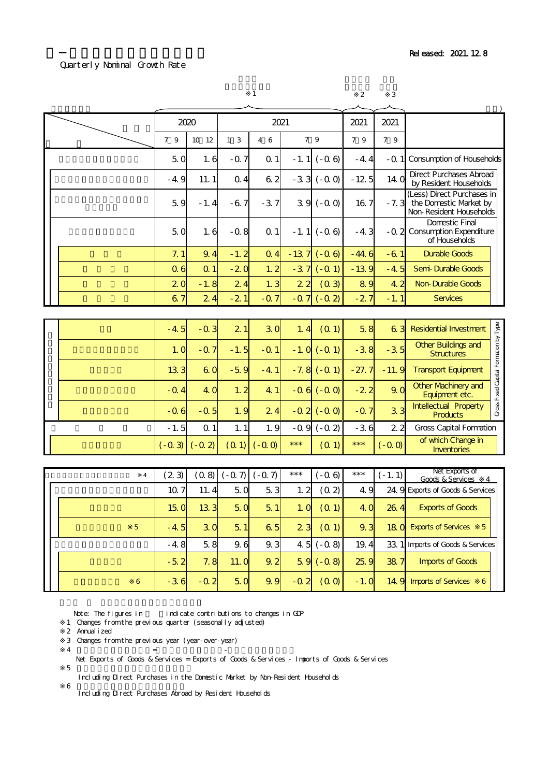### Quarterly Nominal Growth Rate

|   |                 |                |                | $\mathbf{1}$   |        |                   | $\overline{2}$  | 3              |                                                                                 |                                       |
|---|-----------------|----------------|----------------|----------------|--------|-------------------|-----------------|----------------|---------------------------------------------------------------------------------|---------------------------------------|
|   |                 | 2020           |                | 2021           |        |                   | 2021            | 2021           |                                                                                 |                                       |
|   | 7 9             | 10 12          | 1 <sub>3</sub> | 4 6            |        | 7 9               | 7 9             | 79             |                                                                                 |                                       |
|   | 50              | 1.6            | $-0.7$         | Q <sub>1</sub> |        | $-1.1$ ( $-0.6$ ) | $-4.4$          | $-0.1$         | <b>Consumption of Households</b>                                                |                                       |
|   | $-4.9$          | 11.1           | Q <sub>4</sub> | 62             |        | $-33$ ( $-00$ )   | $-125$          | 14. O          | <b>Direct Purchases Abroad</b><br>by Resident Households                        |                                       |
|   | 5.9             | $-1.4$         | $-67$          | $-3.7$         |        | $39( -00)$        | 16 <sub>7</sub> | $-7.3$         | (Less) Direct Purchases in<br>the Domestic Market by<br>Non-Resident Households |                                       |
|   | 50              | 1.6            | $-0.8$         | Q <sub>1</sub> |        | $-1.1$ ( $-0.6$ ) | $-4.3$          | $-0.2$         | <b>Domestic Final</b><br><b>Consumption Expenditure</b><br>of Households        |                                       |
|   | 7.1             | 9.4            | $-1.2$         | $Q_4$          |        | $-137$ ( $-06$ )  | $-44.6$         | $-61$          | <b>Durable Goods</b>                                                            |                                       |
|   | Q <sub>6</sub>  | Q <sub>1</sub> | $-20$          | 1.2            | $-3.7$ | $(-Q_1)$          | $-139$          | $-4.5$         | Semi-Durable Goods                                                              |                                       |
|   | 20              | $-1.8$         | 24             | 1.3            | 22     | (03)              | 89              | 4.2            | <b>Non-Durable Goods</b>                                                        |                                       |
|   | 67              | 24             | $-21$          | $-Q$ 7         |        | $-07$ $(-02)$     | $-27$           | $-1.1$         | <b>Services</b>                                                                 |                                       |
|   |                 |                |                |                |        |                   |                 |                |                                                                                 |                                       |
|   | $-4.5$          | $-0.3$         | 2 <sub>1</sub> | 30             | 1.4    | (01)              | 58              | 63             | <b>Residential Investment</b>                                                   |                                       |
|   | 1.0             | $-Q$ 7         | $-1.5$         | $-0.1$         |        | $-1.0$ ( $-0.1$ ) | $-38$           | $-3.5$         | Other Buildings and<br><b>Structures</b>                                        | Gross Fixed Capital Formation by Type |
|   | 13 <sub>3</sub> | 6 <sup>o</sup> | $-59$          | $-4.1$         |        | $-7.8$ $(-0.1)$   | $-27.7$         | $-11.9$        | <b>Transport Equipment</b>                                                      |                                       |
|   | $-0.4$          | 4. O           | 1.2            | 4.1            |        | $-0.6$ $(-0.0)$   | $-22$           | 90             | <b>Other Machinery and</b><br>Equipment etc.                                    |                                       |
|   | $-0.6$          | $-0.5$         | 1.9            | 24             |        | $-0.2$ ( $-0.0$ ) | $-0.7$          | 3 <sub>3</sub> | Intellectual Property<br><b>Products</b>                                        |                                       |
|   | $-1.5$          | Q <sub>1</sub> | 1.1            | 1.9            | $-0.9$ | $(-0, 2)$         | $-36$           | 2 <sub>2</sub> | <b>Gross Capital Formation</b>                                                  |                                       |
|   | $(-0.3)$        | $(-0, 2)$      | (0, 1)         | $(-0,0)$       | $***$  | (01)              | $***$           | $(-0, 0)$      | of which Change in<br><b>Inventories</b>                                        |                                       |
|   |                 |                |                |                |        |                   |                 |                |                                                                                 |                                       |
| 4 | (23)            | (0.8)          | $(-0.7)$       | $(-0, 7)$      | $***$  | $(-0.6)$          | $***$           | $(-1.1)$       | Net Exports of<br>Goods & Services<br>4                                         |                                       |
|   | 10 7            | 11.4           | 5 <sub>o</sub> | 53             | 1.2    | (0, 2)            | 4.9             |                | 24. 9 Exports of Goods & Services                                               |                                       |

|  | 4              | (23)            |                 |                | (0.8) (-0.7) (-0.7) | ***            | -Q 6) I              | ***    | $(-1.1)$ | Goods & Services<br>-4                  |
|--|----------------|-----------------|-----------------|----------------|---------------------|----------------|----------------------|--------|----------|-----------------------------------------|
|  |                | 10 <sub>7</sub> | 11.4            | 50             | 53                  | 1.2            | (0, 2)               | 4.9    |          | 24 9 Exports of Goods & Services        |
|  |                | 15 <sub>o</sub> | 13 <sub>3</sub> | 50             | 51                  | 1.0            | (O <sub>1</sub> )    | 4. O   | 264      | <b>Exports of Goods</b>                 |
|  | 5 <sup>1</sup> | $-4.5$          | 30              | 5 <sub>1</sub> | 6 <sub>5</sub>      | 2 <sub>3</sub> | $(Q_1)$              | 9.3    |          | 18 C Exports of Services<br>$5^{\circ}$ |
|  |                | $-4.8$          | 58              | 9.6            | 9.3                 |                | $4.5 (-0.8)$         | 19.4   |          | 33 1 Imports of Goods & Services        |
|  |                | $-5.2$          | 7.8             | 11.0           | 9.2                 |                | $59 (-08)$           | 259    | 38 7     | <b>Imports of Goods</b>                 |
|  | 6              | $-3.6$          | $-0.2$          | 50             | 9.9                 | $-0.2$         | $\left( 0 0 \right)$ | $-1.0$ |          | 14 9 Imports of Services<br>6           |

Note: The figures in indicate contributions to changes in GDP

- 1 Changes from the previous quarter (seasonally adjusted)
- 2 Annualized
- 3 Changes from the previous year (year-over-year)
- $\overline{4}$   $\overline{4}$   $\overline{5}$   $\overline{5}$   $\overline{5}$   $\overline{5}$   $\overline{5}$   $\overline{5}$   $\overline{5}$   $\overline{5}$   $\overline{5}$   $\overline{5}$   $\overline{5}$   $\overline{5}$   $\overline{5}$   $\overline{5}$   $\overline{5}$   $\overline{5}$   $\overline{5}$   $\overline{5}$   $\overline{5}$   $\overline{5}$   $\overline{5}$   $\overline{5}$   $\overline{$ 
	- Net Exports of Goods & Services = Exports of Goods & Services Imports of Goods & Services

 $5$ Including Direct Purchases in the Domestic Market by Non-Resident Households

%<br>Including Direct Purchases Abroad by Resident Households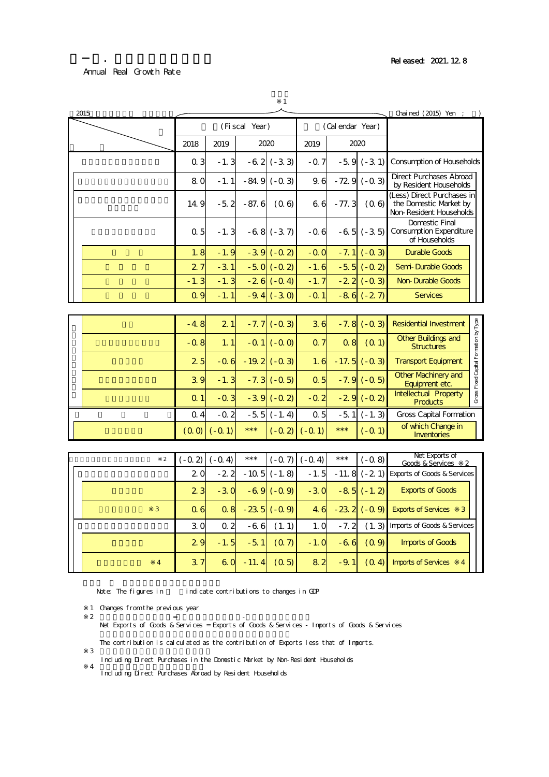2-1. 年次別の実質成長率

|  | ٥ |
|--|---|
|  |   |

| 2015 |             |                     |           |                   |                    |                |                  |                    | Chai ned (2015) Yen ;                                                           |                                       |
|------|-------------|---------------------|-----------|-------------------|--------------------|----------------|------------------|--------------------|---------------------------------------------------------------------------------|---------------------------------------|
|      |             |                     |           | (Fiscal Year)     |                    |                | (Cal endar Year) |                    |                                                                                 |                                       |
|      |             | 2018                | 2019      |                   | 2020               | 2019           |                  | 2020               |                                                                                 |                                       |
|      |             | Q <sub>3</sub>      | $-1.3$    |                   | $-62(-33)$         | $-0.7$         |                  | $-59(-31)$         | <b>Consumption of Households</b>                                                |                                       |
|      |             | 80                  | $-1.1$    |                   | $-84.9(-0.3)$      | 9.6            |                  | $-729(-03)$        | <b>Direct Purchases Abroad</b><br>by Resident Households                        |                                       |
|      |             | 14.9                | $-5.2$    | $-87.6$           | (0.6)              | 66             | $-77.3$          | (0.6)              | (Less) Direct Purchases in<br>the Domestic Market by<br>Non-Resident Households |                                       |
|      |             | 0.5                 | $-1.3$    |                   | $-68(-37)$         | $-0.6$         |                  | $-65(-35)$         | Domestic Final<br><b>Consumption Expenditure</b><br>of Households               |                                       |
|      |             | 1.8                 | $-1.9$    |                   | $-39(-02)$         | $-0.0$         |                  | $-7.1$ ( $-0.3$ )  | <b>Durable Goods</b>                                                            |                                       |
|      |             | 27                  | $-3.1$    |                   | $-50(-02)$         | $-1.6$         |                  | $-55$ ( $-02$ )    | Semi-Durable Goods                                                              |                                       |
|      |             | $-1.3$              | $-1.3$    |                   | $-26(-0.4)$        | $-1.7$         |                  | $-22$ ( $-03$ )    | <b>Non-Durable Goods</b>                                                        |                                       |
|      |             | Q <sub>q</sub>      | $-1.1$    |                   | $-9.4$ ( $-3.0$ )  | $-0.1$         |                  | $-86(-27)$         | <b>Services</b>                                                                 |                                       |
|      |             |                     |           |                   |                    |                |                  |                    |                                                                                 |                                       |
|      |             | $-4.8$              | 21        |                   | $-7.7$ ( $-0.3$ )  | 36             |                  | $-7.8(-0.3)$       | <b>Residential Investment</b>                                                   |                                       |
|      |             | $-0.8$              | 1.1       |                   | $-01$ ( $-00$ )    | Q <sub>7</sub> | Q <sub>8</sub>   | (0, 1)             | Other Buildings and<br><b>Structures</b>                                        | Gross Fixed Capital Formation by Type |
|      |             | 25                  | $-0.6$    |                   | $-19.2$ ( $-0.3$ ) | 1.6            |                  | $-17.5$ ( $-0.3$ ) | <b>Transport Equipment</b>                                                      |                                       |
|      |             | 39                  | $-1.3$    |                   | $-7.3$ ( $-0.5$ )  | Q <sub>5</sub> |                  | $-7.9$ ( $-0.5$ )  | <b>Other Machinery and</b><br>Equipment etc.                                    |                                       |
|      |             | Q <sub>1</sub>      | $-0.3$    |                   | $-39( -02)$        | $-0.2$         |                  | $-29$ ( $-02$ )    | <b>Intellectual Property</b><br><b>Products</b>                                 |                                       |
|      |             | $Q_4$               | $-0.2$    |                   | $-5.5$ ( $-1.4$ )  | Q <sub>5</sub> |                  | $-51$ ( $-1.3$ )   | <b>Gross Capital Formation</b>                                                  |                                       |
|      |             | (00)                | $(-0, 1)$ | $***$             | $(-0.2)$           | $(-0, 1)$      | $***$            | $(-Q_1)$           | of which Change in<br><b>Inventories</b>                                        |                                       |
|      |             |                     |           |                   |                    |                |                  |                    |                                                                                 |                                       |
|      | $\mathbf 2$ | $(-0, 2)$ $(-0, 4)$ |           | $\star\star\star$ | $(-0, 7)$          | $(-0.4)$       | $***$            | $(-0.8)$           | Net Exports of<br>Goods & Services                                              |                                       |
|      |             | 20                  | $-22$     |                   | $-10.5(-1.8)$      | $-1.5$         |                  | $-11.8(-21)$       | <b>Exports of Goods &amp; Services</b>                                          |                                       |
|      |             | 2 <sub>3</sub>      | $-30$     |                   | $-69(-09)$         | $-30$          |                  | $-85(-1.2)$        | <b>Exports of Goods</b>                                                         |                                       |

|                | 20             |                |     | $-22 - 105 (-1.8)$ |                                             |                  | $-1.5$ $-11.8$ $(-2.1)$ Exports of Goods & Services                                                                  |
|----------------|----------------|----------------|-----|--------------------|---------------------------------------------|------------------|----------------------------------------------------------------------------------------------------------------------|
|                | 2 <sub>3</sub> | $-30$          |     | $-69(-09)$         |                                             | $-30 - 85(-1,2)$ | <b>Exports of Goods</b>                                                                                              |
| 3              | Q <sub>6</sub> |                |     | $Q8 - 235 (-0.9)$  |                                             |                  | 4. 6 $-23.2$ ( $-0.9$ ) Exports of Services<br>$\overline{\mathbf{3}}$                                               |
|                | 3.O            | Q <sub>2</sub> | -66 | (1.1)              | 1.0                                         |                  | - 7. 2 (1. 3) Imports of Goods & Services                                                                            |
|                | 2.9            |                |     |                    | $-1.5$ $-5.1$ $(0.7)$ $-1.0$ $-6.6$ $(0.9)$ |                  | <b>Imports of Goods</b>                                                                                              |
| $\overline{4}$ | 37             |                |     | 60 - 11.4 $(O5)$   |                                             |                  | $\begin{array}{ c c c c c }\n 8 & 2 & -9 & 1 & (0 & 4) & \text{Imports of Services}\n \end{array}$<br>$\overline{4}$ |

Note: The figures in indicate contributions to changes in GDP

 $2$   $=$   $-$ 

1 Changes from the previous year

 $\overline{\mathbf{3}}$ 

- Net Exports of Goods & Services = Exports of Goods & Services Imports of Goods & Services
- The contribution is calculated as the contribution of Exports less that of Imports.
	- Including Direct Purchases in the Domestic Market by Non-Resident Households
- %<br>Including Direct Purchases Abroad by Resident Households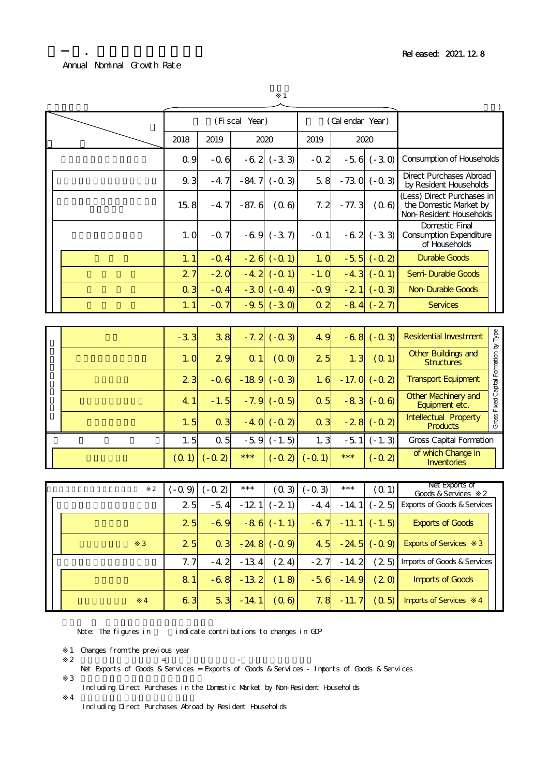### Annual Nominal Growth Rate

2-2. 年次別の名目成長率

| ۰ |
|---|
|   |

|                |                |                | (Fi scal Year) |                  |                | (Cal endar Year) |                  |                                                                                 |                                       |
|----------------|----------------|----------------|----------------|------------------|----------------|------------------|------------------|---------------------------------------------------------------------------------|---------------------------------------|
|                | 2018           | 2019           |                | 2020             | 2019           |                  | 2020             |                                                                                 |                                       |
|                | Q 9            | $-0.6$         | $-6.2$         | $(-3.3)$         | $-0.2$         | $-5.6$           | $(-3.0)$         | <b>Consumption of Households</b>                                                |                                       |
|                | 9.3            | $-4.7$         | $-84.7$        | $(-0.3)$         | 58             | $-730$           | $(-0.3)$         | <b>Direct Purchases Abroad</b><br>by Resident Households                        |                                       |
|                | 15.8           | $-4.7$         | $-87.6$        | (0.6)            | 7.2            | $-77.3$          | (0.6)            | (Less) Direct Purchases in<br>the Domestic Market by<br>Non-Resident Households |                                       |
|                | 1.0            | $-0.7$         |                | $-69(-37)$       | $-0.1$         |                  | $-62$ $(-33)$    | <b>Domestic Final</b><br><b>Consumption Expenditure</b><br>of Households        |                                       |
|                | 1.1            | $-0.4$         |                | $-26$ ( $-01$ )  | 1.0            | $-5.5$           | $(-0, 2)$        | <b>Durable Goods</b>                                                            |                                       |
|                | 27             | $-20$          | $-4.2$         | $(-0, 1)$        | $-1.0$         | $-4.3$           | $(-0, 1)$        | Semi-Durable Goods                                                              |                                       |
|                | $Q_3$          | $-Q$ 4         |                | $-30(-04)$       | $-0.9$         | $-21$            | $(-0.3)$         | <b>Non-Durable Goods</b>                                                        |                                       |
|                | 1.1            | $-Q$ 7         |                | $-9.5$ $(-3.0)$  | Q <sub>2</sub> |                  | $-84$ $(-27)$    | <b>Services</b>                                                                 |                                       |
|                |                |                |                |                  |                |                  |                  |                                                                                 |                                       |
|                | $-3.3$         | 38             | $-7.2$         | $(-0.3)$         | 4.9            |                  | $-68 (-03)$      | <b>Residential Investment</b>                                                   |                                       |
|                | 1.0            | 29             | Q <sub>1</sub> | (00)             | 25             | 1.3              | (0, 1)           | Other Buildings and<br><b>Structures</b>                                        | Gross Fixed Capital Formation by Type |
|                | 2 <sub>3</sub> | $-0.6$         |                | $-189$ $(-03)$   | 1.6            |                  | $-17.0$ $(-0.2)$ | <b>Transport Equipment</b>                                                      |                                       |
|                | 4.1            | $-1.5$         | $-7.9$         | $(-0.5)$         | Q <sub>5</sub> | $-83$            | $(-0.6)$         | <b>Other Machinery and</b><br>Equipment etc.                                    |                                       |
|                | 1.5            | $Q_3$          | $-4.0$         | $(-0.2)$         | $Q_3$          |                  | $-28$ $(-0.2)$   | Intellectual Property<br><b>Products</b>                                        |                                       |
|                | 1.5            | Q <sub>5</sub> | $-5.9$         | $(-1.5)$         | 1.3            | $-5.1$           | $(-1.3)$         | <b>Gross Capital Formation</b>                                                  |                                       |
|                | (0, 1)         | $(-0, 2)$      | $***$          | $(-0.2)$         | $(-0.1)$       | $***$            | $(-0.2)$         | of which Change in<br><b>Inventories</b>                                        |                                       |
|                |                |                |                |                  |                |                  |                  |                                                                                 |                                       |
| $\overline{2}$ | $(-0, 9)$      | $(-0, 2)$      | $***$          | (0, 3)           | $(-0.3)$       | $***$            | (0, 1)           | Net Exports of<br>Goods & Services<br>2                                         |                                       |
|                | 25             | $-5.4$         | $-121$         | $(-21)$          | $-4.4$         | $-14.1$          | $(-25)$          | <b>Exports of Goods &amp; Services</b>                                          |                                       |
|                | 2 <sub>5</sub> | $-69$          |                | $-86$ ( $-1.1$ ) | $-67$          | $-11.1$          | $(-1.5)$         | <b>Exports of Goods</b>                                                         |                                       |
| $\mathbf{3}$   | 25             | $Q_3$          |                | $-24.8$ $(-0.9)$ | 4.5            |                  | $-24.5$ $(-0.9)$ | <b>Exports of Services</b><br>3                                                 |                                       |

7.7 -4.2 -13.4 (2.4) -2.7 -14.2 (2.5) (再掲)財貨・サービスの輸入 Imports of Goods & Services  $8.1$   $-6.8$   $-13.2$   $(1.8)$   $-5.6$   $-14.9$   $(2.0)$ 6.3 5.3 -14.1  $(0.6)$  7.8 -11.7  $(0.5)$ Imports of Services 4 サービスの輸入 ※4 Imports of Goods

Note: The figures in indicate contributions to changes in GDP

1 Changes from the previous year

 $2$   $=$   $+$   $+$ Net Exports of Goods & Services = Exports of Goods & Services - Imports of Goods & Services

 $\overline{\mathbf{3}}$ Including Direct Purchases in the Domestic Market by Non-Resident Households

 $\overline{4}$ 

Including Direct Purchases Abroad by Resident Households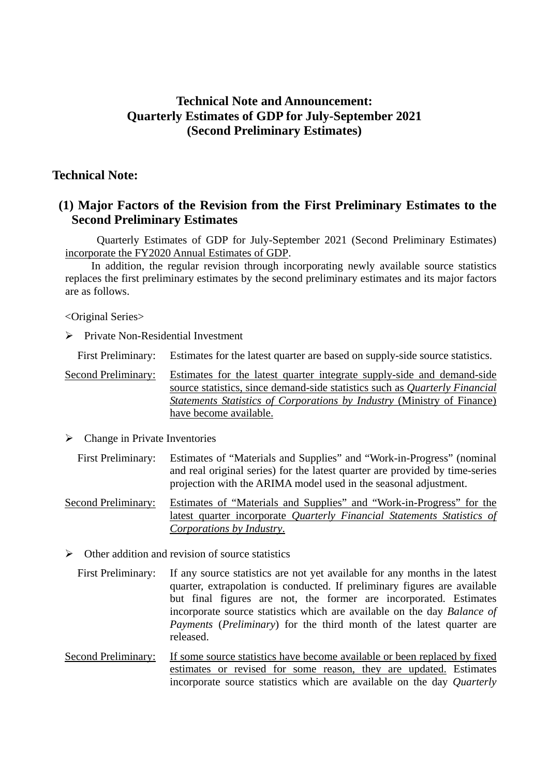# **Technical Note and Announcement: Quarterly Estimates of GDP for July-September 2021 (Second Preliminary Estimates)**

# **Technical Note:**

# **(1) Major Factors of the Revision from the First Preliminary Estimates to the Second Preliminary Estimates**

 Quarterly Estimates of GDP for July-September 2021 (Second Preliminary Estimates) incorporate the FY2020 Annual Estimates of GDP.

In addition, the regular revision through incorporating newly available source statistics replaces the first preliminary estimates by the second preliminary estimates and its major factors are as follows.

# <Original Series>

 $\triangleright$  Private Non-Residential Investment

First Preliminary: Estimates for the latest quarter are based on supply-side source statistics.

Second Preliminary: Estimates for the latest quarter integrate supply-side and demand-side source statistics, since demand-side statistics such as *Quarterly Financial Statements Statistics of Corporations by Industry* (Ministry of Finance) have become available.

 $\triangleright$  Change in Private Inventories

First Preliminary: Estimates of "Materials and Supplies" and "Work-in-Progress" (nominal and real original series) for the latest quarter are provided by time-series projection with the ARIMA model used in the seasonal adjustment.

- Second Preliminary: Estimates of "Materials and Supplies" and "Work-in-Progress" for the latest quarter incorporate *Quarterly Financial Statements Statistics of Corporations by Industry*.
- $\triangleright$  Other addition and revision of source statistics
- First Preliminary: If any source statistics are not yet available for any months in the latest quarter, extrapolation is conducted. If preliminary figures are available but final figures are not, the former are incorporated. Estimates incorporate source statistics which are available on the day *Balance of Payments* (*Preliminary*) for the third month of the latest quarter are released.
- Second Preliminary: If some source statistics have become available or been replaced by fixed estimates or revised for some reason, they are updated. Estimates incorporate source statistics which are available on the day *Quarterly*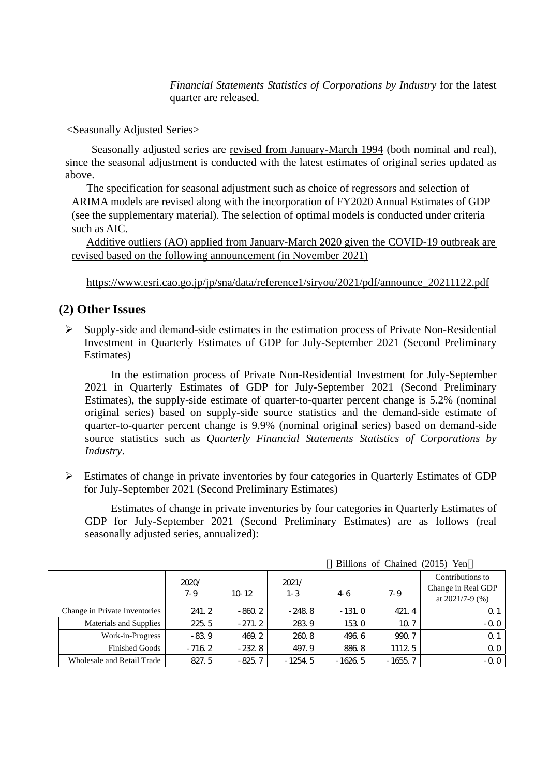*Financial Statements Statistics of Corporations by Industry* for the latest quarter are released.

<Seasonally Adjusted Series>

Seasonally adjusted series are revised from January-March 1994 (both nominal and real), since the seasonal adjustment is conducted with the latest estimates of original series updated as above.

The specification for seasonal adjustment such as choice of regressors and selection of ARIMA models are revised along with the incorporation of FY2020 Annual Estimates of GDP (see the supplementary material). The selection of optimal models is conducted under criteria such as AIC.

Additive outliers (AO) applied from January-March 2020 given the COVID-19 outbreak are revised based on the following announcement (in November 2021)

https://www.esri.cao.go.jp/jp/sna/data/reference1/siryou/2021/pdf/announce\_20211122.pdf

# **(2) Other Issues**

 $\triangleright$  Supply-side and demand-side estimates in the estimation process of Private Non-Residential Investment in Quarterly Estimates of GDP for July-September 2021 (Second Preliminary Estimates)

In the estimation process of Private Non-Residential Investment for July-September 2021 in Quarterly Estimates of GDP for July-September 2021 (Second Preliminary Estimates), the supply-side estimate of quarter-to-quarter percent change is 5.2% (nominal original series) based on supply-side source statistics and the demand-side estimate of quarter-to-quarter percent change is 9.9% (nominal original series) based on demand-side source statistics such as *Quarterly Financial Statements Statistics of Corporations by Industry*.

 $\triangleright$  Estimates of change in private inventories by four categories in Quarterly Estimates of GDP for July-September 2021 (Second Preliminary Estimates)

Estimates of change in private inventories by four categories in Quarterly Estimates of GDP for July-September 2021 (Second Preliminary Estimates) are as follows (real seasonally adjusted series, annualized):

|  |                               |                |          | $\mu$ Difficults of Channel (2019) Fell |          |                 |                                                               |
|--|-------------------------------|----------------|----------|-----------------------------------------|----------|-----------------|---------------------------------------------------------------|
|  |                               | 2020/<br>$7-9$ | $10-12$  | 2021/<br>$1-3$                          | 46       | $7-9$           | Contributions to<br>Change in Real GDP<br>at $2021/7 - 9$ (%) |
|  | Change in Private Inventories | 241.2          | $-860.2$ | $-248.8$                                | $-131.0$ | 421.4           | Q 1                                                           |
|  | Materials and Supplies        | 225.5          | $-271.2$ | 283.9                                   | 153.0    | 10 <sub>7</sub> | $-0.0$                                                        |
|  | Work-in-Progress              | $-83.9$        | 469.2    | 2608                                    | 496.6    | 990.7           | $\Omega$ 1                                                    |
|  | <b>Finished Goods</b>         | $-716.2$       | $-232.8$ | 497.9                                   | 8868     | 11125           | QQ                                                            |
|  | Wholesale and Retail Trade    | 827.5          | $-825.7$ | $-1254.5$                               | -1626 5  | $-1655.7$       | $-0.0$                                                        |

Billions of Chained (2015) Yen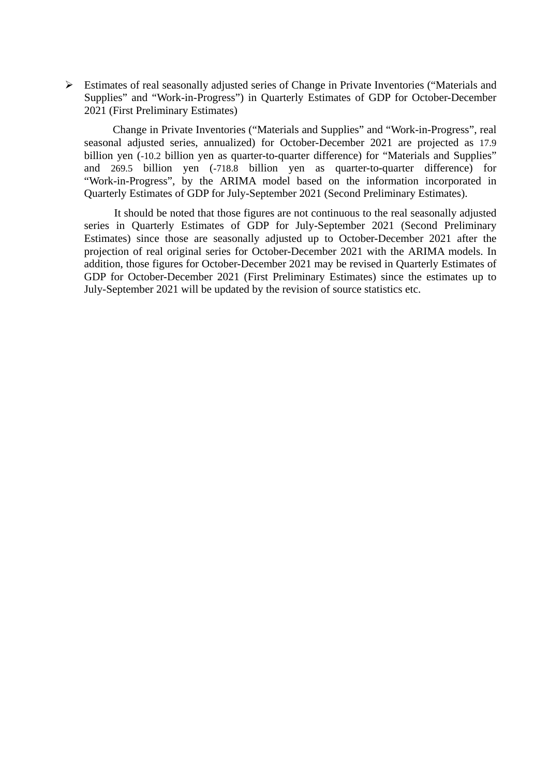Estimates of real seasonally adjusted series of Change in Private Inventories ("Materials and Supplies" and "Work-in-Progress") in Quarterly Estimates of GDP for October-December 2021 (First Preliminary Estimates)

Change in Private Inventories ("Materials and Supplies" and "Work-in-Progress", real seasonal adjusted series, annualized) for October-December 2021 are projected as 17.9 billion yen (-10.2 billion yen as quarter-to-quarter difference) for "Materials and Supplies" and 269.5 billion yen (-718.8 billion yen as quarter-to-quarter difference) for "Work-in-Progress", by the ARIMA model based on the information incorporated in Quarterly Estimates of GDP for July-September 2021 (Second Preliminary Estimates).

It should be noted that those figures are not continuous to the real seasonally adjusted series in Quarterly Estimates of GDP for July-September 2021 (Second Preliminary Estimates) since those are seasonally adjusted up to October-December 2021 after the projection of real original series for October-December 2021 with the ARIMA models. In addition, those figures for October-December 2021 may be revised in Quarterly Estimates of GDP for October-December 2021 (First Preliminary Estimates) since the estimates up to July-September 2021 will be updated by the revision of source statistics etc.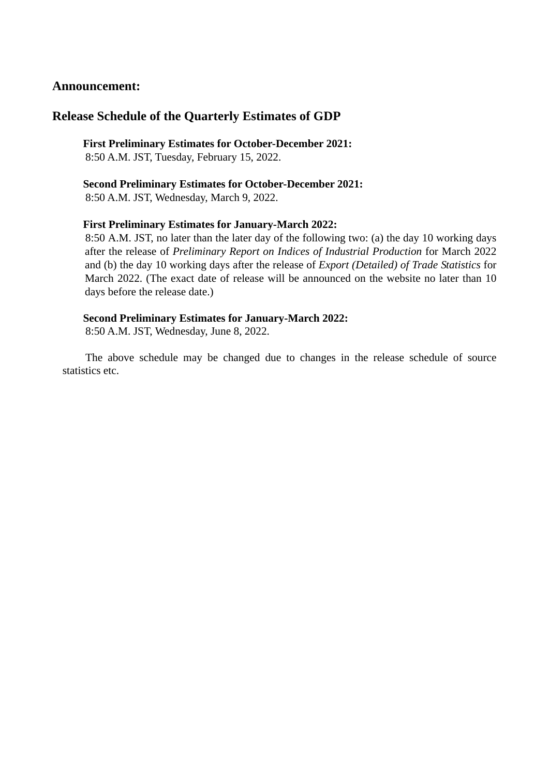# **Announcement:**

# **Release Schedule of the Quarterly Estimates of GDP**

**First Preliminary Estimates for October-December 2021:**  8:50 A.M. JST, Tuesday, February 15, 2022.

**Second Preliminary Estimates for October-December 2021:**  8:50 A.M. JST, Wednesday, March 9, 2022.

### **First Preliminary Estimates for January-March 2022:**

8:50 A.M. JST, no later than the later day of the following two: (a) the day 10 working days after the release of *Preliminary Report on Indices of Industrial Production* for March 2022 and (b) the day 10 working days after the release of *Export (Detailed) of Trade Statistics* for March 2022. (The exact date of release will be announced on the website no later than 10 days before the release date.)

# **Second Preliminary Estimates for January-March 2022:**

8:50 A.M. JST, Wednesday, June 8, 2022.

The above schedule may be changed due to changes in the release schedule of source statistics etc.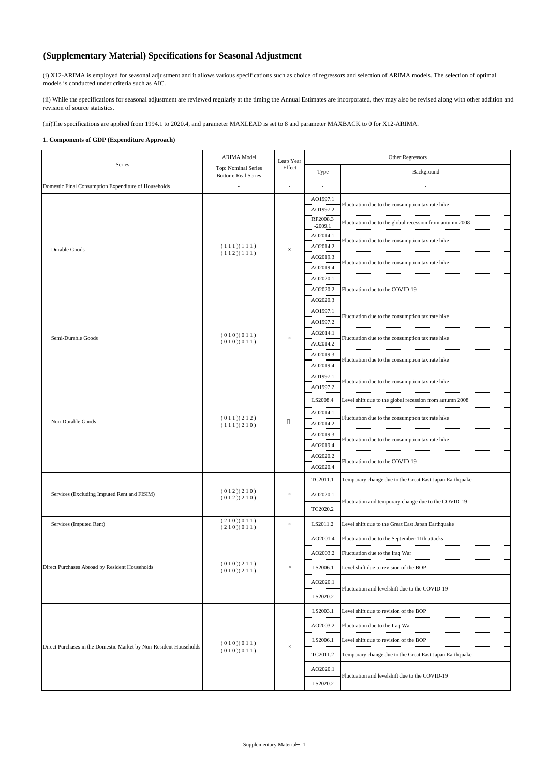# **(Supplementary Material) Specifications for Seasonal Adjustment**

(i) X12-ARIMA is employed for seasonal adjustment and it allows various specifications such as choice of regressors and selection of ARIMA models. The selection of optimal models is conducted under criteria such as AIC.

(ii) While the specifications for seasonal adjustment are reviewed regularly at the timing the Annual Estimates are incorporated, they may also be revised along with other addition and revision of source statistics.

(iii)The specifications are applied from 1994.1 to 2020.4, and parameter MAXLEAD is set to 8 and parameter MAXBACK to 0 for X12-ARIMA.

#### **1. Components of GDP (Expenditure Approach)**

| Series                                                             | <b>ARIMA</b> Model                                | Leap Year | Other Regressors                     |                                                                                                              |
|--------------------------------------------------------------------|---------------------------------------------------|-----------|--------------------------------------|--------------------------------------------------------------------------------------------------------------|
|                                                                    | Top: Nominal Series<br><b>Bottom: Real Series</b> | Effect    | Type                                 | Background                                                                                                   |
| Domestic Final Consumption Expenditure of Households               |                                                   | ÷,        | ٠                                    |                                                                                                              |
|                                                                    |                                                   | $\times$  | AO1997.1<br>.<br>AO1997.2            | Fluctuation due to the consumption tax rate hike                                                             |
|                                                                    |                                                   |           | <br>RP2008.3<br>$-2009.1$            | Fluctuation due to the global recession from autumn 2008                                                     |
| Durable Goods                                                      | (111)(111)                                        |           | AO2014.1<br>.<br>AO2014.2            | Fluctuation due to the consumption tax rate hike                                                             |
|                                                                    | (112)(111)                                        |           | AO2019.3<br>AO2019.4                 | Fluctuation due to the consumption tax rate hike                                                             |
|                                                                    |                                                   |           | AO2020.1                             |                                                                                                              |
|                                                                    |                                                   |           | AO2020.2<br>AO2020.3                 | Fluctuation due to the COVID-19                                                                              |
|                                                                    |                                                   | $\times$  | AO1997.1<br>.<br>AO1997.2            | Fluctuation due to the consumption tax rate hike                                                             |
| Semi-Durable Goods                                                 | (010)(011)                                        |           | AO2014.1<br>,,,,,,,,,,,,,,,,,,,,,,,, | Fluctuation due to the consumption tax rate hike                                                             |
|                                                                    | (010)(011)                                        |           | AO2014.2                             |                                                                                                              |
|                                                                    |                                                   |           | AO2019.3<br>.<br>AO2019.4            | Fluctuation due to the consumption tax rate hike                                                             |
|                                                                    |                                                   |           | AO1997.1<br>.<br>AO1997.2            | Fluctuation due to the consumption tax rate hike                                                             |
|                                                                    |                                                   |           | LS2008.4                             | Level shift due to the global recession from autumn 2008<br>Fluctuation due to the consumption tax rate hike |
|                                                                    | (011)(212)                                        |           | AO2014.1<br>.                        |                                                                                                              |
| Non-Durable Goods                                                  | (111)(210)                                        |           | AO2014.2                             |                                                                                                              |
|                                                                    |                                                   |           | AO2019.3<br>AO2019.4                 | Fluctuation due to the consumption tax rate hike                                                             |
|                                                                    |                                                   |           | AO2020.2<br>AO2020.4                 | Fluctuation due to the COVID-19                                                                              |
|                                                                    | (012)(210)<br>(012)(210)<br>(210)(011)            | $\times$  | TC2011.1                             | Temporary change due to the Great East Japan Earthquake                                                      |
| Services (Excluding Imputed Rent and FISIM)                        |                                                   |           | AO2020.1                             | Fluctuation and temporary change due to the COVID-19                                                         |
|                                                                    |                                                   |           | TC2020.2                             |                                                                                                              |
| Services (Imputed Rent)                                            | (210)(011)                                        | $\times$  | LS2011.2                             | Level shift due to the Great East Japan Earthquake                                                           |
|                                                                    |                                                   |           | AO2001.4                             | Fluctuation due to the September 11th attacks                                                                |
|                                                                    |                                                   |           | AO2003.2<br>.                        | Fluctuation due to the Iraq War                                                                              |
| Direct Purchases Abroad by Resident Households                     | (010)(211)<br>(010)(211)                          | $\times$  | LS2006.1                             | Level shift due to revision of the BOP                                                                       |
|                                                                    |                                                   |           | AO2020.1                             | Fluctuation and levelshift due to the COVID-19                                                               |
|                                                                    |                                                   |           | LS2020.2                             |                                                                                                              |
|                                                                    |                                                   |           | LS2003.1                             | Level shift due to revision of the BOP                                                                       |
|                                                                    |                                                   |           | AO2003.2                             | Fluctuation due to the Iraq War                                                                              |
|                                                                    | (010)(011)                                        |           | LS2006.1                             | Level shift due to revision of the BOP                                                                       |
| Direct Purchases in the Domestic Market by Non-Resident Households | (010)(011)                                        | $\times$  | TC2011.2                             | Temporary change due to the Great East Japan Earthquake                                                      |
|                                                                    |                                                   |           | AO2020.1                             |                                                                                                              |
|                                                                    |                                                   |           | LS2020.2                             | Fluctuation and levelshift due to the COVID-19                                                               |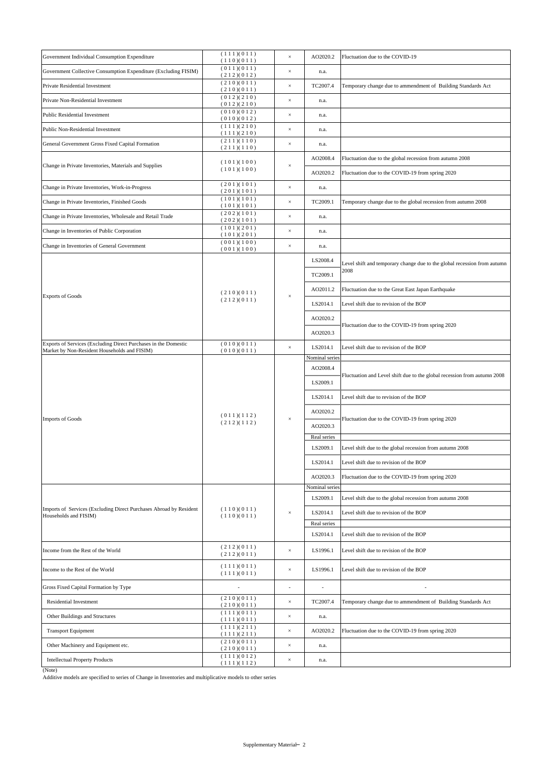| Government Individual Consumption Expenditure                                                                        | (111)(011)<br>(110)(011) | $\times$ | AO2020.2                   | Fluctuation due to the COVID-19                                                  |
|----------------------------------------------------------------------------------------------------------------------|--------------------------|----------|----------------------------|----------------------------------------------------------------------------------|
| Government Collective Consumption Expenditure (Excluding FISIM)                                                      | (011)(011)<br>(212)(012) | $\times$ | n.a.                       |                                                                                  |
| Private Residential Investment                                                                                       | (210)(011)<br>(210)(011) | $\times$ | TC2007.4                   | Temporary change due to ammendment of Building Standards Act                     |
| Private Non-Residential Investment                                                                                   | (012)(210)<br>(012)(210) | $\times$ | n.a.                       |                                                                                  |
| <b>Public Residential Investment</b>                                                                                 | (010)(012)<br>(010)(012) | $\times$ | n.a.                       |                                                                                  |
| Public Non-Residential Investment                                                                                    | (111)(210)<br>(111)(210) | $\times$ | n.a.                       |                                                                                  |
| General Government Gross Fixed Capital Formation                                                                     | (211)(110)<br>(211)(110) | $\times$ | n.a.                       |                                                                                  |
|                                                                                                                      | (101)(100)               |          | AO2008.4                   | Fluctuation due to the global recession from autumn 2008                         |
| Change in Private Inventories, Materials and Supplies                                                                | (101)(100)               | $\times$ | AO2020.2                   | Fluctuation due to the COVID-19 from spring 2020                                 |
| Change in Private Inventories, Work-in-Progress                                                                      | (201)(101)<br>(201)(101) | $\times$ | n.a.                       |                                                                                  |
| Change in Private Inventories, Finished Goods                                                                        | (101)(101)<br>(101)(101) | $\times$ | TC2009.1                   | Temporary change due to the global recession from autumn 2008                    |
| Change in Private Inventories, Wholesale and Retail Trade                                                            | (202)(101)<br>(202)(101) | $\times$ | n.a.                       |                                                                                  |
| Change in Inventories of Public Corporation                                                                          | (101)(201)               | $\times$ | n.a.                       |                                                                                  |
| Change in Inventories of General Government                                                                          | (101)(201)<br>(001)(100) | $\times$ | n.a.                       |                                                                                  |
|                                                                                                                      | (001)(100)               |          | LS2008.4                   |                                                                                  |
|                                                                                                                      |                          | $\times$ | TC2009.1                   | Level shift and temporary change due to the global recession from autumn<br>2008 |
|                                                                                                                      |                          |          | AO2011.2                   | Fluctuation due to the Great East Japan Earthquake                               |
| <b>Exports of Goods</b>                                                                                              | (210)(011)<br>(212)(011) |          | LS2014.1                   | Level shift due to revision of the BOP                                           |
|                                                                                                                      |                          |          | AO2020.2                   |                                                                                  |
|                                                                                                                      |                          |          | AO2020.3                   | Fluctuation due to the COVID-19 from spring 2020                                 |
| Exports of Services (Excluding Direct Purchases in the Domestic                                                      | (010)(011)               | $\times$ | LS2014.1                   | Level shift due to revision of the BOP                                           |
| Market by Non-Resident Households and FISIM)                                                                         | (010)(011)               |          | Nominal series             |                                                                                  |
|                                                                                                                      | (011)(112)<br>(212)(112) | $\times$ | AO2008.4<br>.              | Fluctuation and Level shift due to the global recession from autumn 2008         |
|                                                                                                                      |                          |          | LS2009.1                   |                                                                                  |
|                                                                                                                      |                          |          | LS2014.1                   | Level shift due to revision of the BOP                                           |
| <b>Imports of Goods</b>                                                                                              |                          |          | AO2020.2                   | Fluctuation due to the COVID-19 from spring 2020                                 |
|                                                                                                                      |                          |          | AO2020.3                   |                                                                                  |
|                                                                                                                      |                          |          | Real series                |                                                                                  |
|                                                                                                                      |                          |          | LS2009.1                   | Level shift due to the global recession from autumn 2008                         |
|                                                                                                                      |                          |          | LS2014.1                   | Level shift due to revision of the BOP                                           |
|                                                                                                                      |                          |          | AO2020.3                   | Fluctuation due to the COVID-19 from spring 2020                                 |
|                                                                                                                      |                          | $\times$ | Nominal series<br>LS2009.1 | Level shift due to the global recession from autumn 2008                         |
| Imports of Services (Excluding Direct Purchases Abroad by Resident                                                   | (110)(011)<br>(110)(011) |          | LS2014.1                   | Level shift due to revision of the BOP                                           |
| Households and FISIM)                                                                                                |                          |          | Real series                |                                                                                  |
|                                                                                                                      |                          |          | LS2014.1                   | Level shift due to revision of the BOP                                           |
| Income from the Rest of the World                                                                                    | (212)(011)<br>(212)(011) | $\times$ | LS1996.1                   | Level shift due to revision of the BOP                                           |
| Income to the Rest of the World                                                                                      | (111)(011)<br>(111)(011) | $\times$ | LS1996.1                   | Level shift due to revision of the BOP                                           |
| Gross Fixed Capital Formation by Type                                                                                |                          |          | $\overline{\phantom{a}}$   |                                                                                  |
| Residential Investment                                                                                               | (210)(011)               | $\times$ | TC2007.4                   | Temporary change due to ammendment of Building Standards Act                     |
| Other Buildings and Structures                                                                                       | (210)(011)<br>(111)(011) | $\times$ | n.a.                       |                                                                                  |
| <b>Transport Equipment</b>                                                                                           | (111)(011)<br>(111)(211) | $\times$ | AO2020.2                   | Fluctuation due to the COVID-19 from spring 2020                                 |
| Other Machinery and Equipment etc.                                                                                   | (111)(211)<br>(210)(011) | $\times$ | n.a.                       |                                                                                  |
| <b>Intellectual Property Products</b>                                                                                | (210)(011)<br>(111)(012) | $\times$ | n.a.                       |                                                                                  |
| (Note)<br>Additive models are specified to series of Change in Inventories and multiplicative models to other series | (111)(112)               |          |                            |                                                                                  |
|                                                                                                                      |                          |          |                            |                                                                                  |